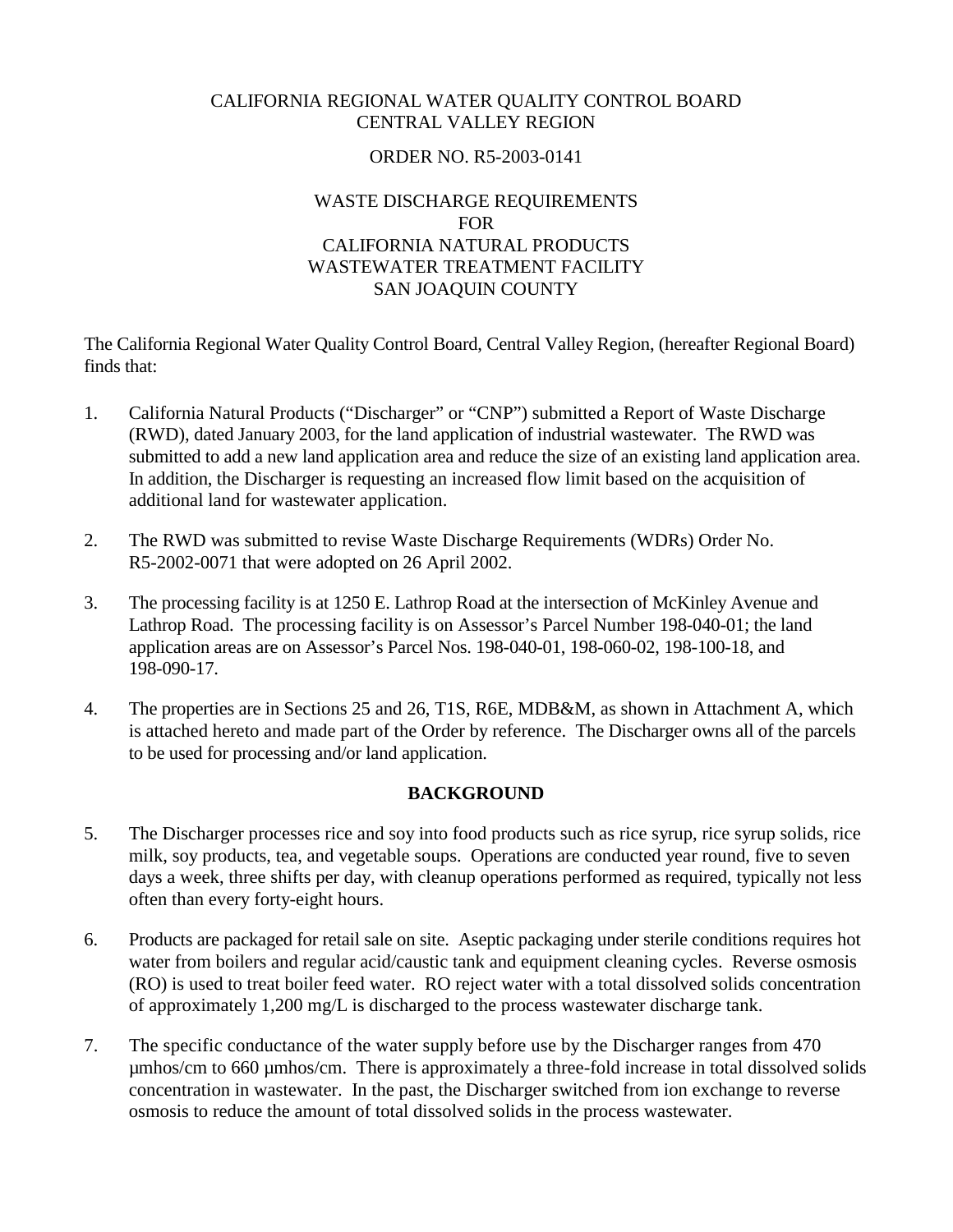## CALIFORNIA REGIONAL WATER QUALITY CONTROL BOARD CENTRAL VALLEY REGION

# ORDER NO. R5-2003-0141

# WASTE DISCHARGE REQUIREMENTS FOR CALIFORNIA NATURAL PRODUCTS WASTEWATER TREATMENT FACILITY SAN JOAQUIN COUNTY

The California Regional Water Quality Control Board, Central Valley Region, (hereafter Regional Board) finds that:

- 1. California Natural Products ("Discharger" or "CNP") submitted a Report of Waste Discharge (RWD), dated January 2003, for the land application of industrial wastewater. The RWD was submitted to add a new land application area and reduce the size of an existing land application area. In addition, the Discharger is requesting an increased flow limit based on the acquisition of additional land for wastewater application.
- 2. The RWD was submitted to revise Waste Discharge Requirements (WDRs) Order No. R5-2002-0071 that were adopted on 26 April 2002.
- 3. The processing facility is at 1250 E. Lathrop Road at the intersection of McKinley Avenue and Lathrop Road. The processing facility is on Assessor's Parcel Number 198-040-01; the land application areas are on Assessor's Parcel Nos. 198-040-01, 198-060-02, 198-100-18, and 198-090-17.
- 4. The properties are in Sections 25 and 26, T1S, R6E, MDB&M, as shown in Attachment A, which is attached hereto and made part of the Order by reference. The Discharger owns all of the parcels to be used for processing and/or land application.

# **BACKGROUND**

- 5. The Discharger processes rice and soy into food products such as rice syrup, rice syrup solids, rice milk, soy products, tea, and vegetable soups. Operations are conducted year round, five to seven days a week, three shifts per day, with cleanup operations performed as required, typically not less often than every forty-eight hours.
- 6. Products are packaged for retail sale on site. Aseptic packaging under sterile conditions requires hot water from boilers and regular acid/caustic tank and equipment cleaning cycles. Reverse osmosis (RO) is used to treat boiler feed water. RO reject water with a total dissolved solids concentration of approximately 1,200 mg/L is discharged to the process wastewater discharge tank.
- 7. The specific conductance of the water supply before use by the Discharger ranges from 470 µmhos/cm to 660 µmhos/cm. There is approximately a three-fold increase in total dissolved solids concentration in wastewater. In the past, the Discharger switched from ion exchange to reverse osmosis to reduce the amount of total dissolved solids in the process wastewater.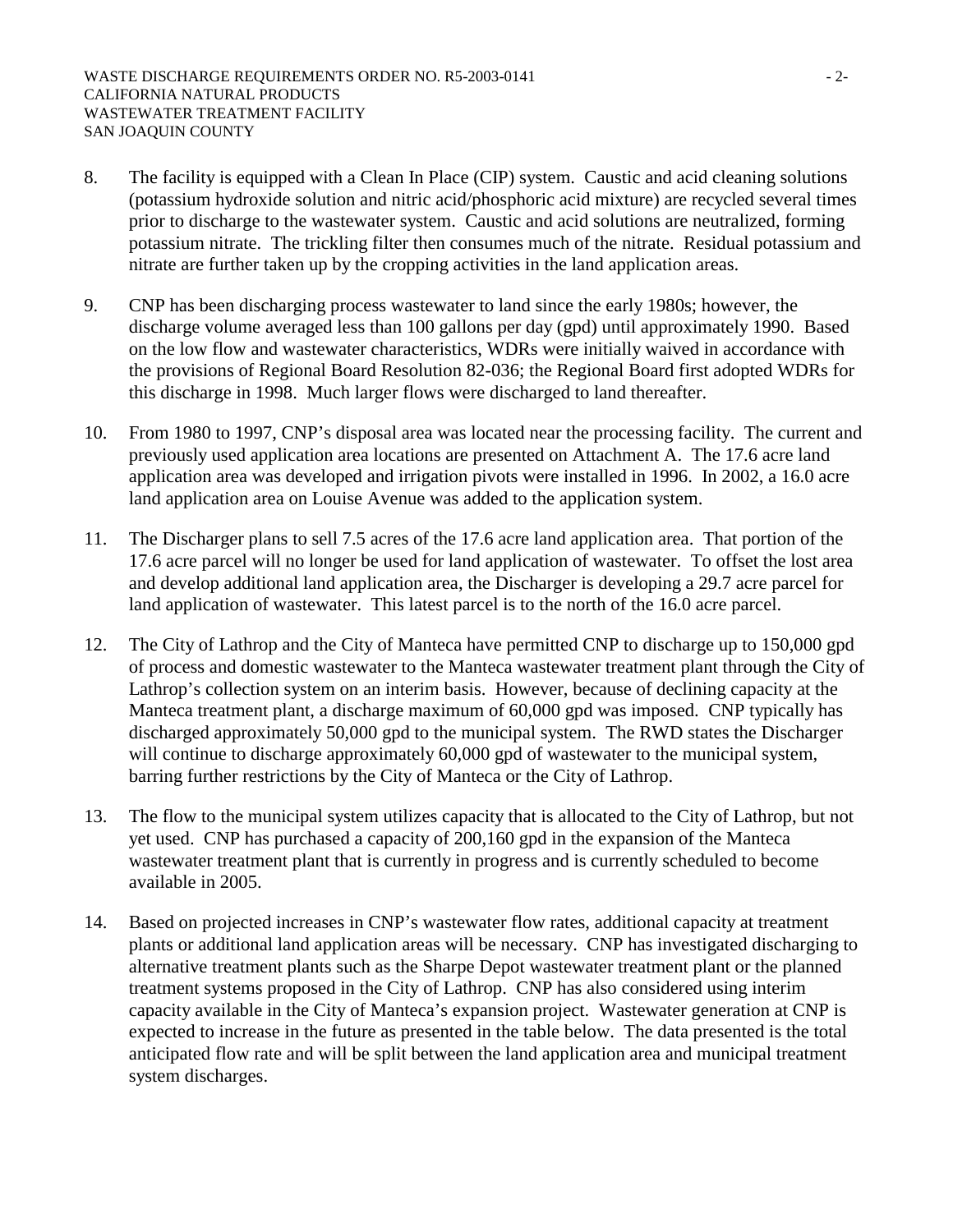- 8. The facility is equipped with a Clean In Place (CIP) system. Caustic and acid cleaning solutions (potassium hydroxide solution and nitric acid/phosphoric acid mixture) are recycled several times prior to discharge to the wastewater system. Caustic and acid solutions are neutralized, forming potassium nitrate. The trickling filter then consumes much of the nitrate. Residual potassium and nitrate are further taken up by the cropping activities in the land application areas.
- 9. CNP has been discharging process wastewater to land since the early 1980s; however, the discharge volume averaged less than 100 gallons per day (gpd) until approximately 1990. Based on the low flow and wastewater characteristics, WDRs were initially waived in accordance with the provisions of Regional Board Resolution 82-036; the Regional Board first adopted WDRs for this discharge in 1998. Much larger flows were discharged to land thereafter.
- 10. From 1980 to 1997, CNP's disposal area was located near the processing facility. The current and previously used application area locations are presented on Attachment A. The 17.6 acre land application area was developed and irrigation pivots were installed in 1996. In 2002, a 16.0 acre land application area on Louise Avenue was added to the application system.
- 11. The Discharger plans to sell 7.5 acres of the 17.6 acre land application area. That portion of the 17.6 acre parcel will no longer be used for land application of wastewater. To offset the lost area and develop additional land application area, the Discharger is developing a 29.7 acre parcel for land application of wastewater. This latest parcel is to the north of the 16.0 acre parcel.
- 12. The City of Lathrop and the City of Manteca have permitted CNP to discharge up to 150,000 gpd of process and domestic wastewater to the Manteca wastewater treatment plant through the City of Lathrop's collection system on an interim basis. However, because of declining capacity at the Manteca treatment plant, a discharge maximum of 60,000 gpd was imposed. CNP typically has discharged approximately 50,000 gpd to the municipal system. The RWD states the Discharger will continue to discharge approximately 60,000 gpd of wastewater to the municipal system, barring further restrictions by the City of Manteca or the City of Lathrop.
- 13. The flow to the municipal system utilizes capacity that is allocated to the City of Lathrop, but not yet used. CNP has purchased a capacity of 200,160 gpd in the expansion of the Manteca wastewater treatment plant that is currently in progress and is currently scheduled to become available in 2005.
- 14. Based on projected increases in CNP's wastewater flow rates, additional capacity at treatment plants or additional land application areas will be necessary. CNP has investigated discharging to alternative treatment plants such as the Sharpe Depot wastewater treatment plant or the planned treatment systems proposed in the City of Lathrop. CNP has also considered using interim capacity available in the City of Manteca's expansion project. Wastewater generation at CNP is expected to increase in the future as presented in the table below. The data presented is the total anticipated flow rate and will be split between the land application area and municipal treatment system discharges.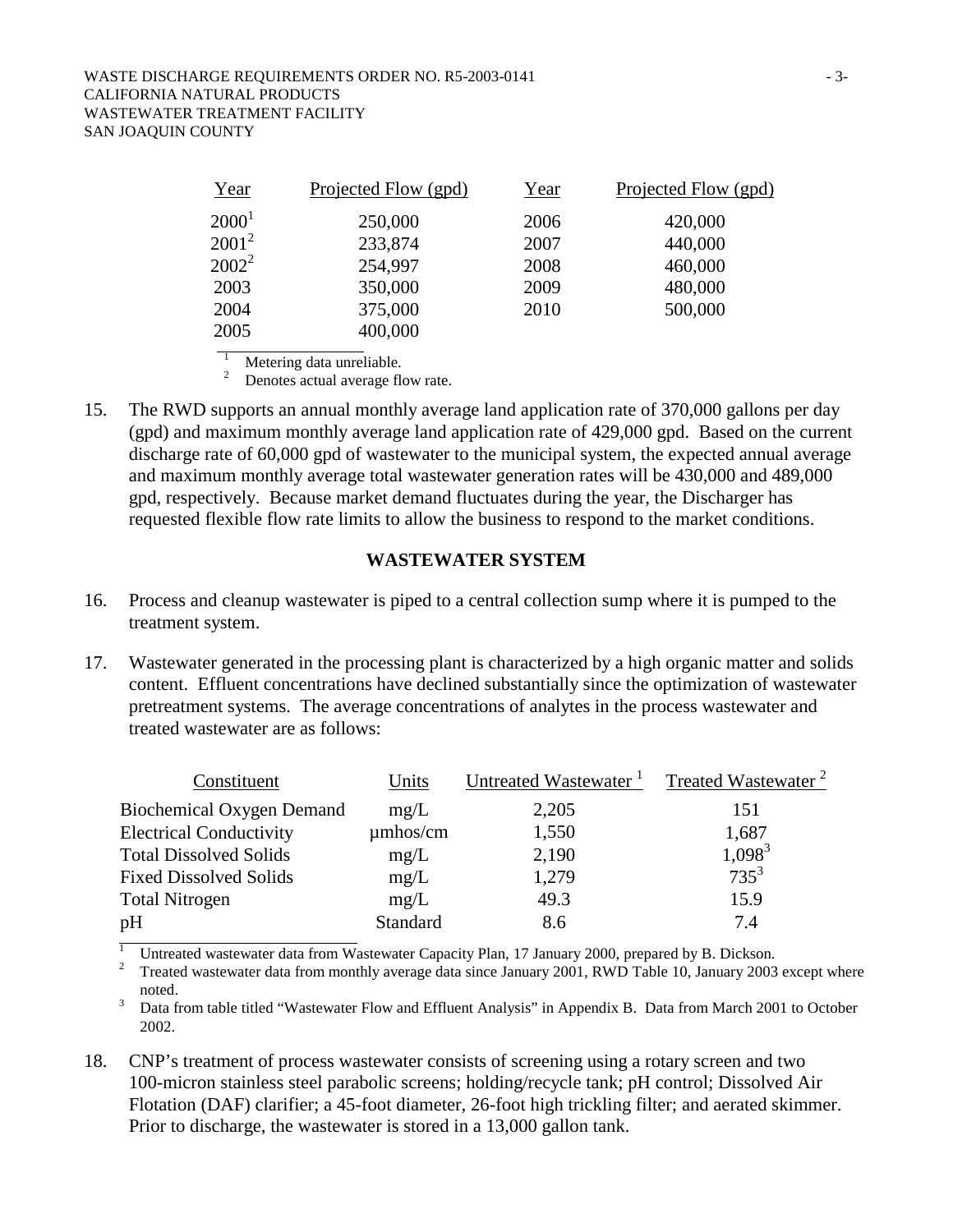| Year     | Projected Flow (gpd) | Year | Projected Flow (gpd) |
|----------|----------------------|------|----------------------|
| $2000^1$ | 250,000              | 2006 | 420,000              |
| $2001^2$ | 233,874              | 2007 | 440,000              |
| $2002^2$ | 254,997              | 2008 | 460,000              |
| 2003     | 350,000              | 2009 | 480,000              |
| 2004     | 375,000              | 2010 | 500,000              |
| 2005     | 400,000              |      |                      |

1 Metering data unreliable.

2 Denotes actual average flow rate.

15. The RWD supports an annual monthly average land application rate of 370,000 gallons per day (gpd) and maximum monthly average land application rate of 429,000 gpd. Based on the current discharge rate of 60,000 gpd of wastewater to the municipal system, the expected annual average and maximum monthly average total wastewater generation rates will be 430,000 and 489,000 gpd, respectively. Because market demand fluctuates during the year, the Discharger has requested flexible flow rate limits to allow the business to respond to the market conditions.

### **WASTEWATER SYSTEM**

- 16. Process and cleanup wastewater is piped to a central collection sump where it is pumped to the treatment system.
- 17. Wastewater generated in the processing plant is characterized by a high organic matter and solids content. Effluent concentrations have declined substantially since the optimization of wastewater pretreatment systems. The average concentrations of analytes in the process wastewater and treated wastewater are as follows:

| Constituent                      | Units           | Untreated Wastewater <sup>1</sup> | Treated Wastewater <sup>2</sup> |
|----------------------------------|-----------------|-----------------------------------|---------------------------------|
| <b>Biochemical Oxygen Demand</b> | mg/L            | 2,205                             | 151                             |
| <b>Electrical Conductivity</b>   | $\mu$ mhos/cm   | 1,550                             | 1,687                           |
| <b>Total Dissolved Solids</b>    | mg/L            | 2,190                             | $1,098^3$                       |
| <b>Fixed Dissolved Solids</b>    | mg/L            | 1,279                             | $735^3$                         |
| <b>Total Nitrogen</b>            | mg/L            | 49.3                              | 15.9                            |
| pH                               | <b>Standard</b> | 8.6                               | 7.4                             |
|                                  |                 |                                   |                                 |

1 Untreated wastewater data from Wastewater Capacity Plan, 17 January 2000, prepared by B. Dickson.

2 Treated wastewater data from monthly average data since January 2001, RWD Table 10, January 2003 except where noted.

 Data from table titled "Wastewater Flow and Effluent Analysis" in Appendix B. Data from March 2001 to October 2002.

18. CNP's treatment of process wastewater consists of screening using a rotary screen and two 100-micron stainless steel parabolic screens; holding/recycle tank; pH control; Dissolved Air Flotation (DAF) clarifier; a 45-foot diameter, 26-foot high trickling filter; and aerated skimmer. Prior to discharge, the wastewater is stored in a 13,000 gallon tank.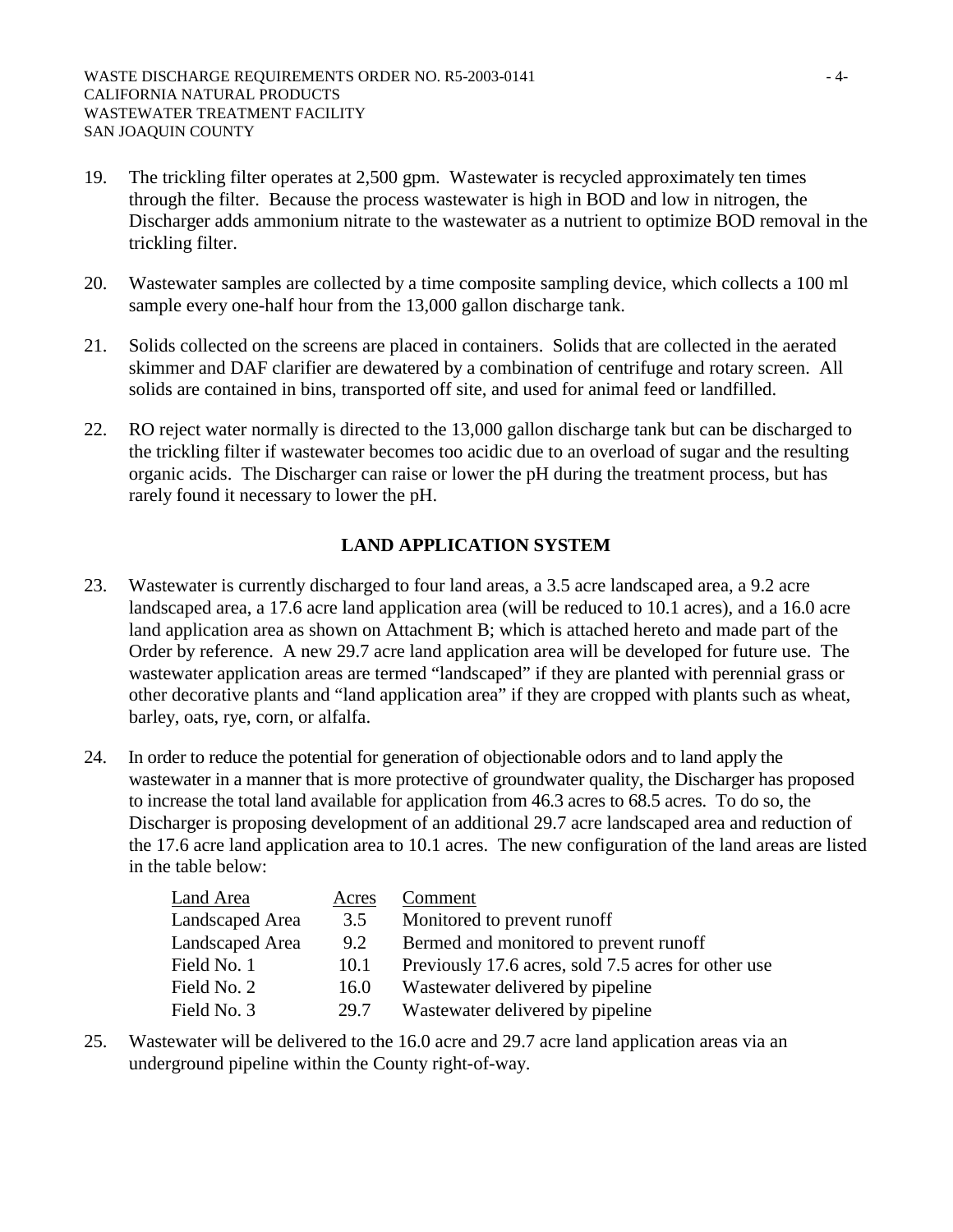- 19. The trickling filter operates at 2,500 gpm. Wastewater is recycled approximately ten times through the filter. Because the process wastewater is high in BOD and low in nitrogen, the Discharger adds ammonium nitrate to the wastewater as a nutrient to optimize BOD removal in the trickling filter.
- 20. Wastewater samples are collected by a time composite sampling device, which collects a 100 ml sample every one-half hour from the 13,000 gallon discharge tank.
- 21. Solids collected on the screens are placed in containers. Solids that are collected in the aerated skimmer and DAF clarifier are dewatered by a combination of centrifuge and rotary screen. All solids are contained in bins, transported off site, and used for animal feed or landfilled.
- 22. RO reject water normally is directed to the 13,000 gallon discharge tank but can be discharged to the trickling filter if wastewater becomes too acidic due to an overload of sugar and the resulting organic acids. The Discharger can raise or lower the pH during the treatment process, but has rarely found it necessary to lower the pH.

# **LAND APPLICATION SYSTEM**

- 23. Wastewater is currently discharged to four land areas, a 3.5 acre landscaped area, a 9.2 acre landscaped area, a 17.6 acre land application area (will be reduced to 10.1 acres), and a 16.0 acre land application area as shown on Attachment B; which is attached hereto and made part of the Order by reference. A new 29.7 acre land application area will be developed for future use. The wastewater application areas are termed "landscaped" if they are planted with perennial grass or other decorative plants and "land application area" if they are cropped with plants such as wheat, barley, oats, rye, corn, or alfalfa.
- 24. In order to reduce the potential for generation of objectionable odors and to land apply the wastewater in a manner that is more protective of groundwater quality, the Discharger has proposed to increase the total land available for application from 46.3 acres to 68.5 acres. To do so, the Discharger is proposing development of an additional 29.7 acre landscaped area and reduction of the 17.6 acre land application area to 10.1 acres. The new configuration of the land areas are listed in the table below:

| Land Area       | Acres | Comment                                             |
|-----------------|-------|-----------------------------------------------------|
| Landscaped Area | 3.5   | Monitored to prevent runoff                         |
| Landscaped Area | 9.2   | Bermed and monitored to prevent runoff              |
| Field No. 1     | 10.1  | Previously 17.6 acres, sold 7.5 acres for other use |
| Field No. 2     | 16.0  | Wastewater delivered by pipeline                    |
| Field No. 3     | 29.7  | Wastewater delivered by pipeline                    |

25. Wastewater will be delivered to the 16.0 acre and 29.7 acre land application areas via an underground pipeline within the County right-of-way.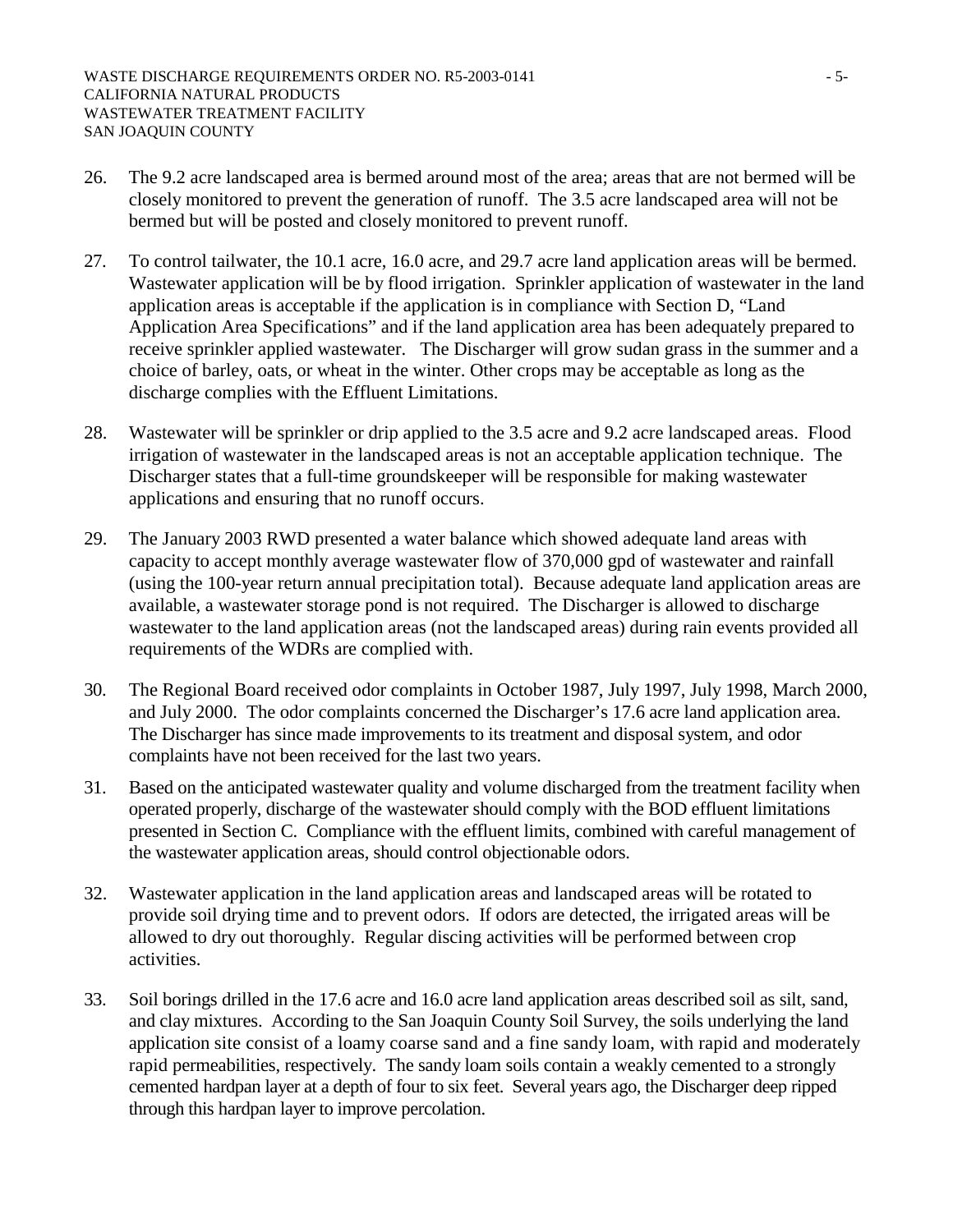- 26. The 9.2 acre landscaped area is bermed around most of the area; areas that are not bermed will be closely monitored to prevent the generation of runoff. The 3.5 acre landscaped area will not be bermed but will be posted and closely monitored to prevent runoff.
- 27. To control tailwater, the 10.1 acre, 16.0 acre, and 29.7 acre land application areas will be bermed. Wastewater application will be by flood irrigation. Sprinkler application of wastewater in the land application areas is acceptable if the application is in compliance with Section D, "Land Application Area Specifications" and if the land application area has been adequately prepared to receive sprinkler applied wastewater. The Discharger will grow sudan grass in the summer and a choice of barley, oats, or wheat in the winter. Other crops may be acceptable as long as the discharge complies with the Effluent Limitations.
- 28. Wastewater will be sprinkler or drip applied to the 3.5 acre and 9.2 acre landscaped areas. Flood irrigation of wastewater in the landscaped areas is not an acceptable application technique. The Discharger states that a full-time groundskeeper will be responsible for making wastewater applications and ensuring that no runoff occurs.
- 29. The January 2003 RWD presented a water balance which showed adequate land areas with capacity to accept monthly average wastewater flow of 370,000 gpd of wastewater and rainfall (using the 100-year return annual precipitation total). Because adequate land application areas are available, a wastewater storage pond is not required. The Discharger is allowed to discharge wastewater to the land application areas (not the landscaped areas) during rain events provided all requirements of the WDRs are complied with.
- 30. The Regional Board received odor complaints in October 1987, July 1997, July 1998, March 2000, and July 2000. The odor complaints concerned the Discharger's 17.6 acre land application area. The Discharger has since made improvements to its treatment and disposal system, and odor complaints have not been received for the last two years.
- 31. Based on the anticipated wastewater quality and volume discharged from the treatment facility when operated properly, discharge of the wastewater should comply with the BOD effluent limitations presented in Section C. Compliance with the effluent limits, combined with careful management of the wastewater application areas, should control objectionable odors.
- 32. Wastewater application in the land application areas and landscaped areas will be rotated to provide soil drying time and to prevent odors. If odors are detected, the irrigated areas will be allowed to dry out thoroughly. Regular discing activities will be performed between crop activities.
- 33. Soil borings drilled in the 17.6 acre and 16.0 acre land application areas described soil as silt, sand, and clay mixtures. According to the San Joaquin County Soil Survey, the soils underlying the land application site consist of a loamy coarse sand and a fine sandy loam, with rapid and moderately rapid permeabilities, respectively. The sandy loam soils contain a weakly cemented to a strongly cemented hardpan layer at a depth of four to six feet. Several years ago, the Discharger deep ripped through this hardpan layer to improve percolation.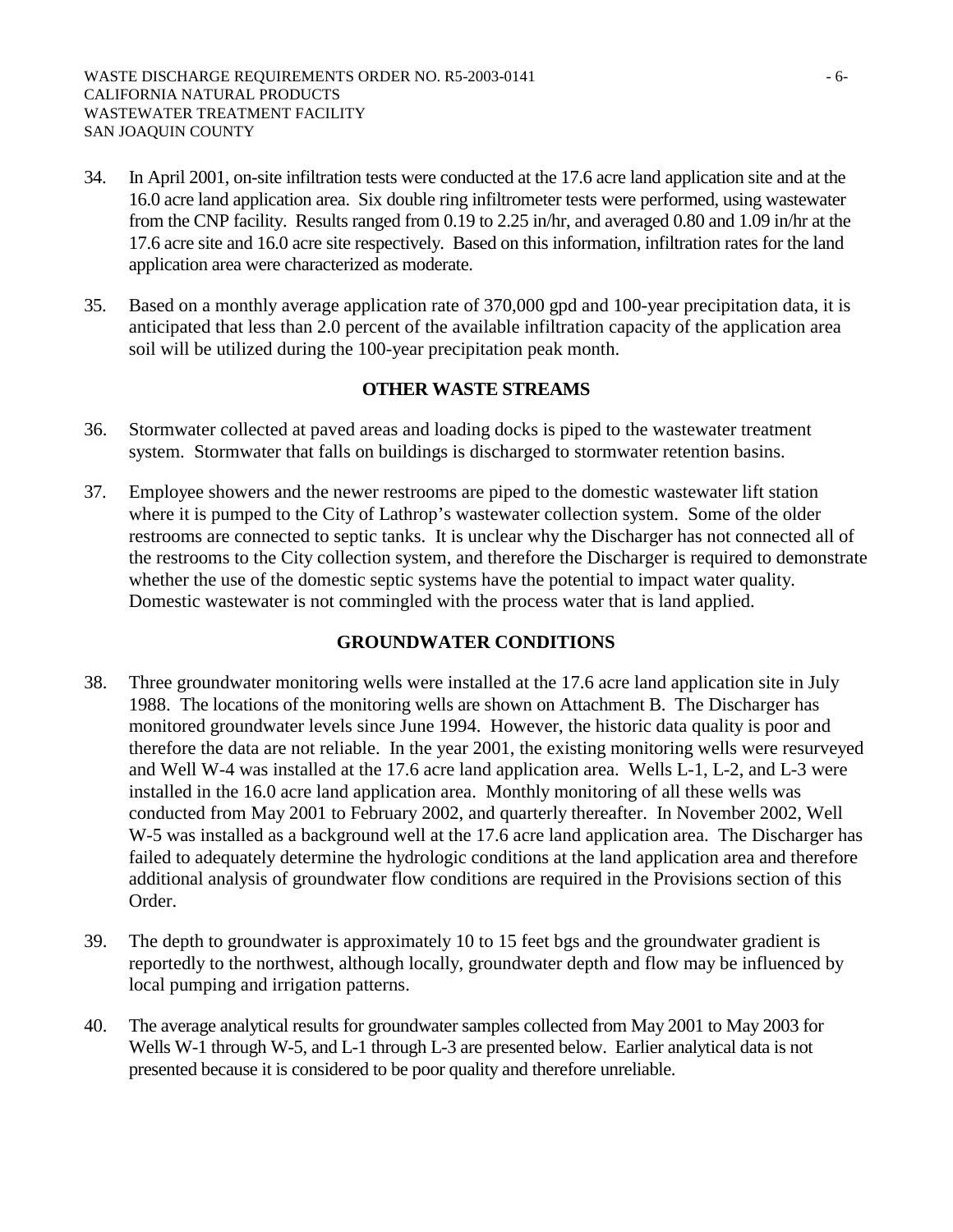- 34. In April 2001, on-site infiltration tests were conducted at the 17.6 acre land application site and at the 16.0 acre land application area. Six double ring infiltrometer tests were performed, using wastewater from the CNP facility. Results ranged from 0.19 to 2.25 in/hr, and averaged 0.80 and 1.09 in/hr at the 17.6 acre site and 16.0 acre site respectively. Based on this information, infiltration rates for the land application area were characterized as moderate.
- 35. Based on a monthly average application rate of 370,000 gpd and 100-year precipitation data, it is anticipated that less than 2.0 percent of the available infiltration capacity of the application area soil will be utilized during the 100-year precipitation peak month.

## **OTHER WASTE STREAMS**

- 36. Stormwater collected at paved areas and loading docks is piped to the wastewater treatment system. Stormwater that falls on buildings is discharged to stormwater retention basins.
- 37. Employee showers and the newer restrooms are piped to the domestic wastewater lift station where it is pumped to the City of Lathrop's wastewater collection system. Some of the older restrooms are connected to septic tanks. It is unclear why the Discharger has not connected all of the restrooms to the City collection system, and therefore the Discharger is required to demonstrate whether the use of the domestic septic systems have the potential to impact water quality. Domestic wastewater is not commingled with the process water that is land applied.

## **GROUNDWATER CONDITIONS**

- 38. Three groundwater monitoring wells were installed at the 17.6 acre land application site in July 1988. The locations of the monitoring wells are shown on Attachment B. The Discharger has monitored groundwater levels since June 1994. However, the historic data quality is poor and therefore the data are not reliable. In the year 2001, the existing monitoring wells were resurveyed and Well W-4 was installed at the 17.6 acre land application area. Wells L-1, L-2, and L-3 were installed in the 16.0 acre land application area. Monthly monitoring of all these wells was conducted from May 2001 to February 2002, and quarterly thereafter. In November 2002, Well W-5 was installed as a background well at the 17.6 acre land application area. The Discharger has failed to adequately determine the hydrologic conditions at the land application area and therefore additional analysis of groundwater flow conditions are required in the Provisions section of this Order.
- 39. The depth to groundwater is approximately 10 to 15 feet bgs and the groundwater gradient is reportedly to the northwest, although locally, groundwater depth and flow may be influenced by local pumping and irrigation patterns.
- 40. The average analytical results for groundwater samples collected from May 2001 to May 2003 for Wells W-1 through W-5, and L-1 through L-3 are presented below. Earlier analytical data is not presented because it is considered to be poor quality and therefore unreliable.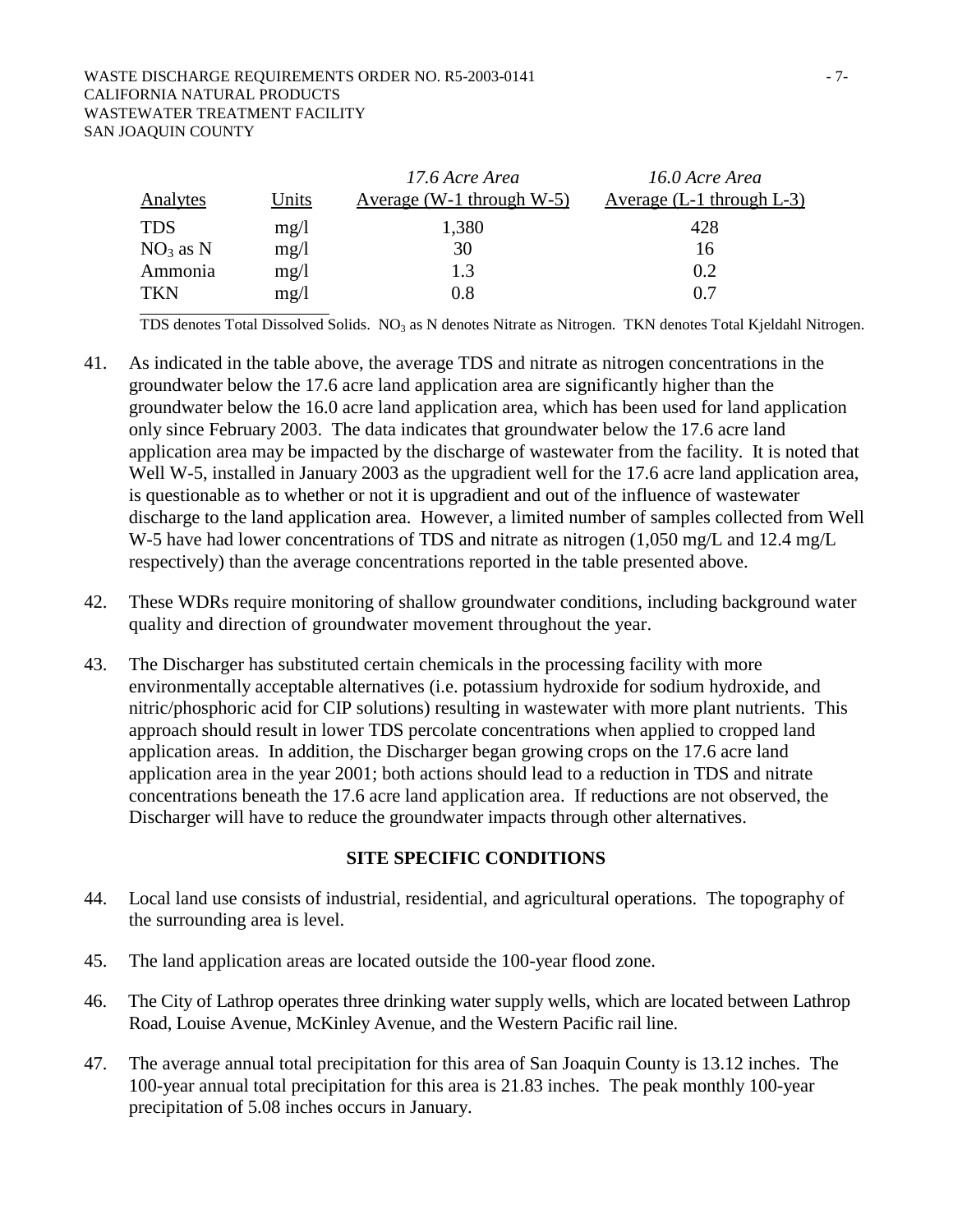#### WASTE DISCHARGE REQUIREMENTS ORDER NO. R5-2003-0141 - 7-CALIFORNIA NATURAL PRODUCTS WASTEWATER TREATMENT FACILITY SAN JOAQUIN COUNTY

|                 |       | 17.6 Acre Area               | 16.0 Acre Area                |
|-----------------|-------|------------------------------|-------------------------------|
| <b>Analytes</b> | Units | Average (W-1 through $W-5$ ) | Average $(L-1)$ through $L-3$ |
| <b>TDS</b>      | mg/l  | 1,380                        | 428                           |
| $NO3$ as N      | mg/1  | 30                           | 16                            |
| Ammonia         | mg/1  | 1.3                          | 0.2                           |
| <b>TKN</b>      | mg/1  | 0.8                          | 0.7                           |

TDS denotes Total Dissolved Solids. NO<sub>3</sub> as N denotes Nitrate as Nitrogen. TKN denotes Total Kjeldahl Nitrogen.

- 41. As indicated in the table above, the average TDS and nitrate as nitrogen concentrations in the groundwater below the 17.6 acre land application area are significantly higher than the groundwater below the 16.0 acre land application area, which has been used for land application only since February 2003. The data indicates that groundwater below the 17.6 acre land application area may be impacted by the discharge of wastewater from the facility. It is noted that Well W-5, installed in January 2003 as the upgradient well for the 17.6 acre land application area, is questionable as to whether or not it is upgradient and out of the influence of wastewater discharge to the land application area. However, a limited number of samples collected from Well W-5 have had lower concentrations of TDS and nitrate as nitrogen (1,050 mg/L and 12.4 mg/L respectively) than the average concentrations reported in the table presented above.
- 42. These WDRs require monitoring of shallow groundwater conditions, including background water quality and direction of groundwater movement throughout the year.
- 43. The Discharger has substituted certain chemicals in the processing facility with more environmentally acceptable alternatives (i.e. potassium hydroxide for sodium hydroxide, and nitric/phosphoric acid for CIP solutions) resulting in wastewater with more plant nutrients. This approach should result in lower TDS percolate concentrations when applied to cropped land application areas. In addition, the Discharger began growing crops on the 17.6 acre land application area in the year 2001; both actions should lead to a reduction in TDS and nitrate concentrations beneath the 17.6 acre land application area. If reductions are not observed, the Discharger will have to reduce the groundwater impacts through other alternatives.

#### **SITE SPECIFIC CONDITIONS**

- 44. Local land use consists of industrial, residential, and agricultural operations. The topography of the surrounding area is level.
- 45. The land application areas are located outside the 100-year flood zone.
- 46. The City of Lathrop operates three drinking water supply wells, which are located between Lathrop Road, Louise Avenue, McKinley Avenue, and the Western Pacific rail line.
- 47. The average annual total precipitation for this area of San Joaquin County is 13.12 inches. The 100-year annual total precipitation for this area is 21.83 inches. The peak monthly 100-year precipitation of 5.08 inches occurs in January.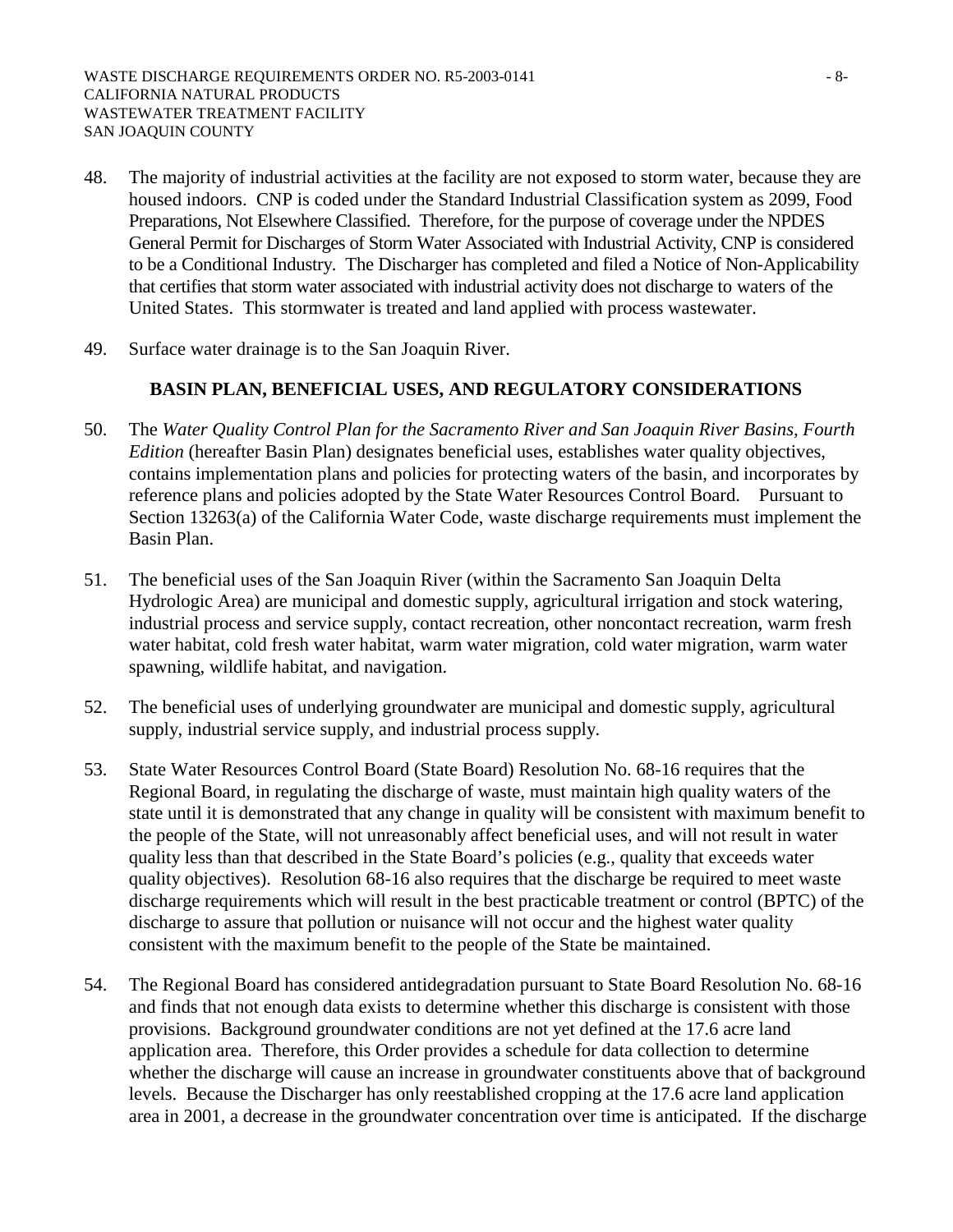- 48. The majority of industrial activities at the facility are not exposed to storm water, because they are housed indoors. CNP is coded under the Standard Industrial Classification system as 2099, Food Preparations, Not Elsewhere Classified. Therefore, for the purpose of coverage under the NPDES General Permit for Discharges of Storm Water Associated with Industrial Activity, CNP is considered to be a Conditional Industry. The Discharger has completed and filed a Notice of Non-Applicability that certifies that storm water associated with industrial activity does not discharge to waters of the United States. This stormwater is treated and land applied with process wastewater.
- 49. Surface water drainage is to the San Joaquin River.

# **BASIN PLAN, BENEFICIAL USES, AND REGULATORY CONSIDERATIONS**

- 50. The *Water Quality Control Plan for the Sacramento River and San Joaquin River Basins, Fourth Edition* (hereafter Basin Plan) designates beneficial uses, establishes water quality objectives, contains implementation plans and policies for protecting waters of the basin, and incorporates by reference plans and policies adopted by the State Water Resources Control Board. Pursuant to Section 13263(a) of the California Water Code, waste discharge requirements must implement the Basin Plan.
- 51. The beneficial uses of the San Joaquin River (within the Sacramento San Joaquin Delta Hydrologic Area) are municipal and domestic supply, agricultural irrigation and stock watering, industrial process and service supply, contact recreation, other noncontact recreation, warm fresh water habitat, cold fresh water habitat, warm water migration, cold water migration, warm water spawning, wildlife habitat, and navigation.
- 52. The beneficial uses of underlying groundwater are municipal and domestic supply, agricultural supply, industrial service supply, and industrial process supply.
- 53. State Water Resources Control Board (State Board) Resolution No. 68-16 requires that the Regional Board, in regulating the discharge of waste, must maintain high quality waters of the state until it is demonstrated that any change in quality will be consistent with maximum benefit to the people of the State, will not unreasonably affect beneficial uses, and will not result in water quality less than that described in the State Board's policies (e.g., quality that exceeds water quality objectives). Resolution 68-16 also requires that the discharge be required to meet waste discharge requirements which will result in the best practicable treatment or control (BPTC) of the discharge to assure that pollution or nuisance will not occur and the highest water quality consistent with the maximum benefit to the people of the State be maintained.
- 54. The Regional Board has considered antidegradation pursuant to State Board Resolution No. 68-16 and finds that not enough data exists to determine whether this discharge is consistent with those provisions. Background groundwater conditions are not yet defined at the 17.6 acre land application area. Therefore, this Order provides a schedule for data collection to determine whether the discharge will cause an increase in groundwater constituents above that of background levels. Because the Discharger has only reestablished cropping at the 17.6 acre land application area in 2001, a decrease in the groundwater concentration over time is anticipated. If the discharge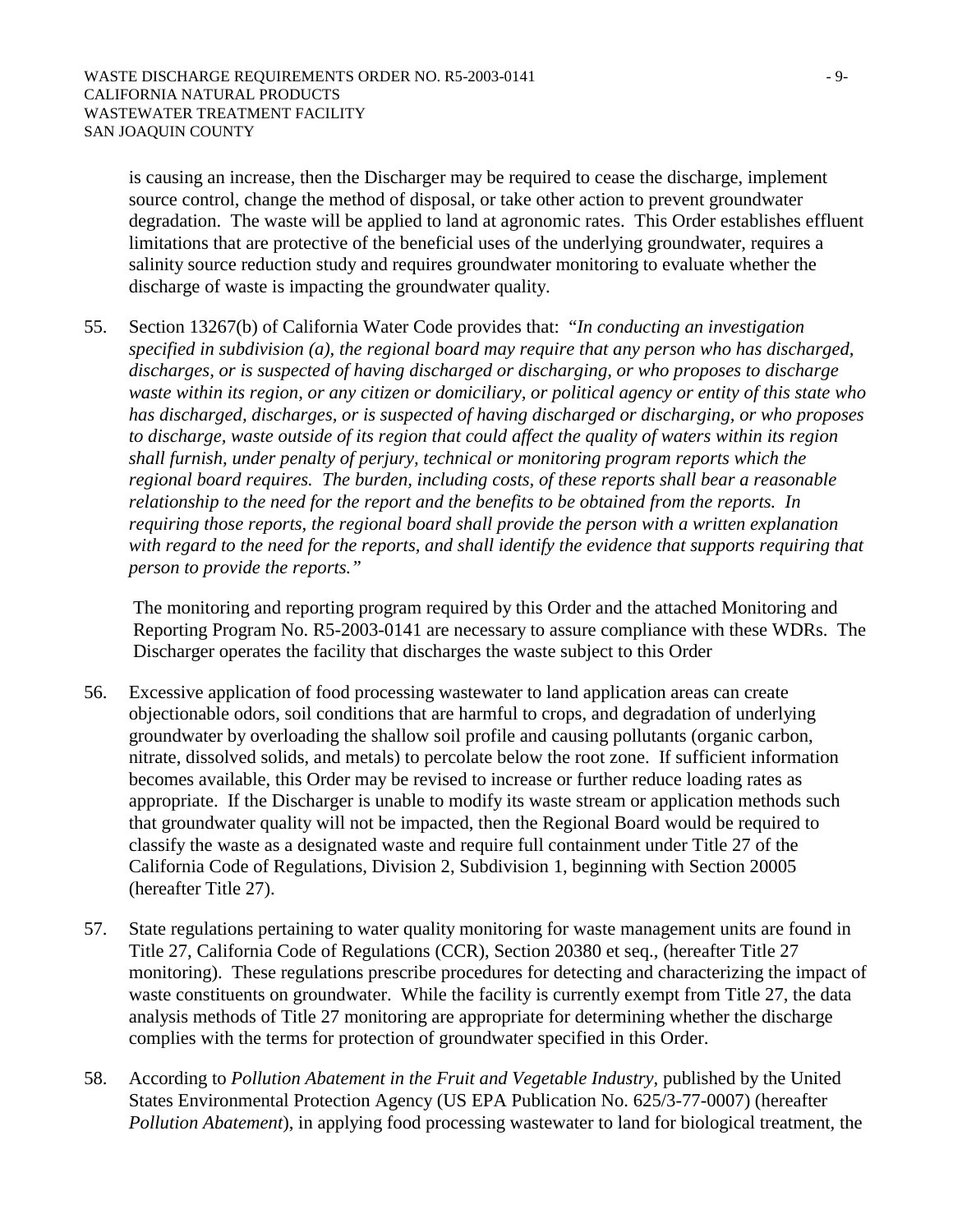is causing an increase, then the Discharger may be required to cease the discharge, implement source control, change the method of disposal, or take other action to prevent groundwater degradation. The waste will be applied to land at agronomic rates. This Order establishes effluent limitations that are protective of the beneficial uses of the underlying groundwater, requires a salinity source reduction study and requires groundwater monitoring to evaluate whether the discharge of waste is impacting the groundwater quality.

55. Section 13267(b) of California Water Code provides that: "*In conducting an investigation specified in subdivision (a), the regional board may require that any person who has discharged, discharges, or is suspected of having discharged or discharging, or who proposes to discharge waste within its region, or any citizen or domiciliary, or political agency or entity of this state who has discharged, discharges, or is suspected of having discharged or discharging, or who proposes to discharge, waste outside of its region that could affect the quality of waters within its region shall furnish, under penalty of perjury, technical or monitoring program reports which the regional board requires. The burden, including costs, of these reports shall bear a reasonable relationship to the need for the report and the benefits to be obtained from the reports. In requiring those reports, the regional board shall provide the person with a written explanation with regard to the need for the reports, and shall identify the evidence that supports requiring that person to provide the reports."*

The monitoring and reporting program required by this Order and the attached Monitoring and Reporting Program No. R5-2003-0141 are necessary to assure compliance with these WDRs. The Discharger operates the facility that discharges the waste subject to this Order

- 56. Excessive application of food processing wastewater to land application areas can create objectionable odors, soil conditions that are harmful to crops, and degradation of underlying groundwater by overloading the shallow soil profile and causing pollutants (organic carbon, nitrate, dissolved solids, and metals) to percolate below the root zone. If sufficient information becomes available, this Order may be revised to increase or further reduce loading rates as appropriate. If the Discharger is unable to modify its waste stream or application methods such that groundwater quality will not be impacted, then the Regional Board would be required to classify the waste as a designated waste and require full containment under Title 27 of the California Code of Regulations, Division 2, Subdivision 1, beginning with Section 20005 (hereafter Title 27).
- 57. State regulations pertaining to water quality monitoring for waste management units are found in Title 27, California Code of Regulations (CCR), Section 20380 et seq., (hereafter Title 27 monitoring). These regulations prescribe procedures for detecting and characterizing the impact of waste constituents on groundwater. While the facility is currently exempt from Title 27, the data analysis methods of Title 27 monitoring are appropriate for determining whether the discharge complies with the terms for protection of groundwater specified in this Order.
- 58. According to *Pollution Abatement in the Fruit and Vegetable Industry*, published by the United States Environmental Protection Agency (US EPA Publication No. 625/3-77-0007) (hereafter *Pollution Abatement*), in applying food processing wastewater to land for biological treatment, the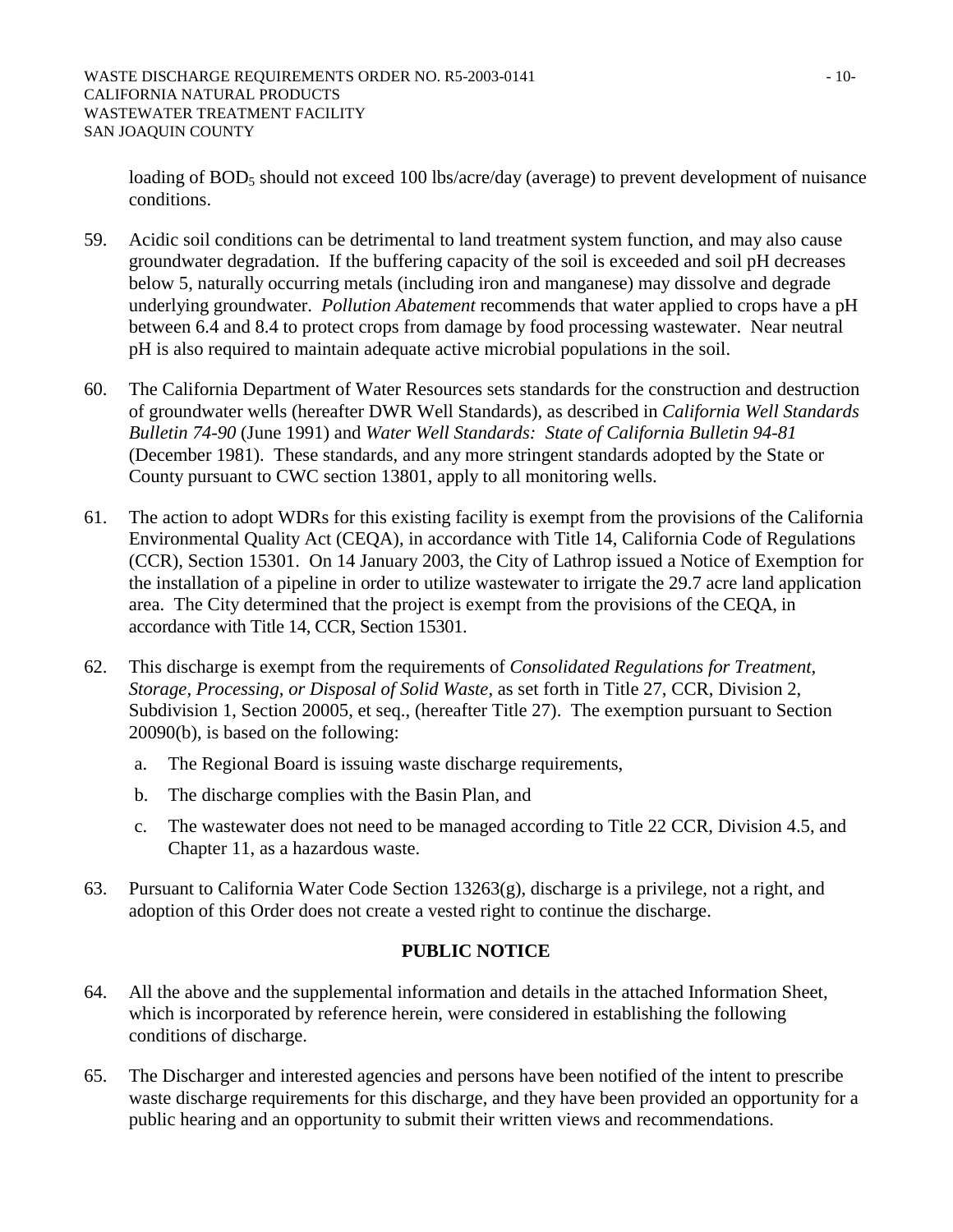loading of BOD<sub>5</sub> should not exceed 100 lbs/acre/day (average) to prevent development of nuisance conditions.

- 59. Acidic soil conditions can be detrimental to land treatment system function, and may also cause groundwater degradation. If the buffering capacity of the soil is exceeded and soil pH decreases below 5, naturally occurring metals (including iron and manganese) may dissolve and degrade underlying groundwater. *Pollution Abatement* recommends that water applied to crops have a pH between 6.4 and 8.4 to protect crops from damage by food processing wastewater. Near neutral pH is also required to maintain adequate active microbial populations in the soil.
- 60. The California Department of Water Resources sets standards for the construction and destruction of groundwater wells (hereafter DWR Well Standards), as described in *California Well Standards Bulletin 74-90* (June 1991) and *Water Well Standards: State of California Bulletin 94-81* (December 1981). These standards, and any more stringent standards adopted by the State or County pursuant to CWC section 13801, apply to all monitoring wells.
- 61. The action to adopt WDRs for this existing facility is exempt from the provisions of the California Environmental Quality Act (CEQA), in accordance with Title 14, California Code of Regulations (CCR), Section 15301. On 14 January 2003, the City of Lathrop issued a Notice of Exemption for the installation of a pipeline in order to utilize wastewater to irrigate the 29.7 acre land application area. The City determined that the project is exempt from the provisions of the CEQA, in accordance with Title 14, CCR, Section 15301.
- 62. This discharge is exempt from the requirements of *Consolidated Regulations for Treatment, Storage, Processing, or Disposal of Solid Waste,* as set forth in Title 27, CCR, Division 2, Subdivision 1, Section 20005, et seq., (hereafter Title 27). The exemption pursuant to Section 20090(b), is based on the following:
	- a. The Regional Board is issuing waste discharge requirements,
	- b. The discharge complies with the Basin Plan, and
	- c. The wastewater does not need to be managed according to Title 22 CCR, Division 4.5, and Chapter 11, as a hazardous waste.
- 63. Pursuant to California Water Code Section 13263(g), discharge is a privilege, not a right, and adoption of this Order does not create a vested right to continue the discharge.

# **PUBLIC NOTICE**

- 64. All the above and the supplemental information and details in the attached Information Sheet, which is incorporated by reference herein, were considered in establishing the following conditions of discharge.
- 65. The Discharger and interested agencies and persons have been notified of the intent to prescribe waste discharge requirements for this discharge, and they have been provided an opportunity for a public hearing and an opportunity to submit their written views and recommendations.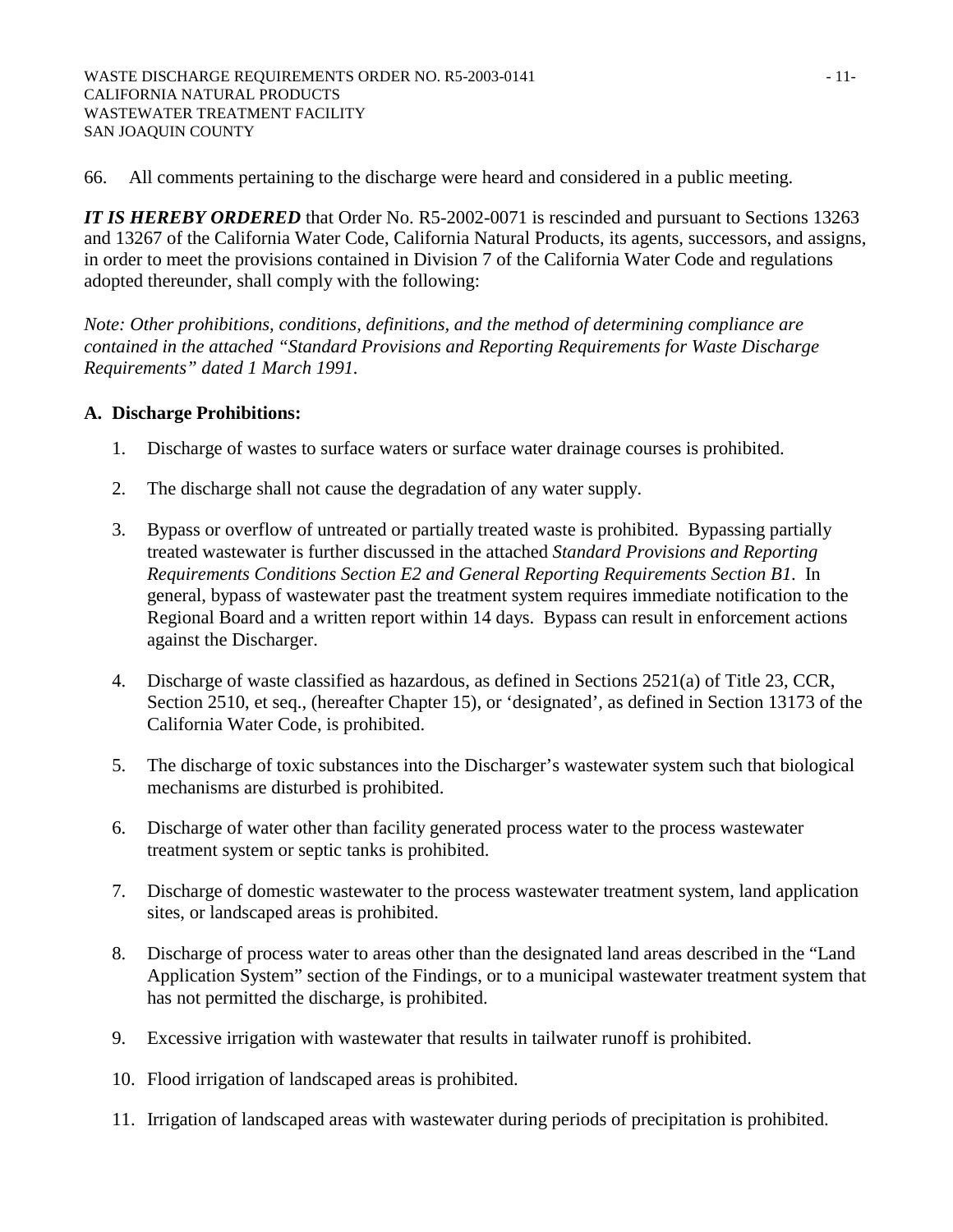66. All comments pertaining to the discharge were heard and considered in a public meeting.

*IT IS HEREBY ORDERED* that Order No. R5-2002-0071 is rescinded and pursuant to Sections 13263 and 13267 of the California Water Code, California Natural Products, its agents, successors, and assigns, in order to meet the provisions contained in Division 7 of the California Water Code and regulations adopted thereunder, shall comply with the following:

*Note: Other prohibitions, conditions, definitions, and the method of determining compliance are contained in the attached "Standard Provisions and Reporting Requirements for Waste Discharge Requirements" dated 1 March 1991.* 

# **A. Discharge Prohibitions:**

- 1. Discharge of wastes to surface waters or surface water drainage courses is prohibited.
- 2. The discharge shall not cause the degradation of any water supply.
- 3. Bypass or overflow of untreated or partially treated waste is prohibited. Bypassing partially treated wastewater is further discussed in the attached *Standard Provisions and Reporting Requirements Conditions Section E2 and General Reporting Requirements Section B1*. In general, bypass of wastewater past the treatment system requires immediate notification to the Regional Board and a written report within 14 days. Bypass can result in enforcement actions against the Discharger.
- 4. Discharge of waste classified as hazardous, as defined in Sections 2521(a) of Title 23, CCR, Section 2510, et seq., (hereafter Chapter 15), or 'designated', as defined in Section 13173 of the California Water Code, is prohibited.
- 5. The discharge of toxic substances into the Discharger's wastewater system such that biological mechanisms are disturbed is prohibited.
- 6. Discharge of water other than facility generated process water to the process wastewater treatment system or septic tanks is prohibited.
- 7. Discharge of domestic wastewater to the process wastewater treatment system, land application sites, or landscaped areas is prohibited.
- 8. Discharge of process water to areas other than the designated land areas described in the "Land Application System" section of the Findings, or to a municipal wastewater treatment system that has not permitted the discharge, is prohibited.
- 9. Excessive irrigation with wastewater that results in tailwater runoff is prohibited.
- 10. Flood irrigation of landscaped areas is prohibited.
- 11. Irrigation of landscaped areas with wastewater during periods of precipitation is prohibited.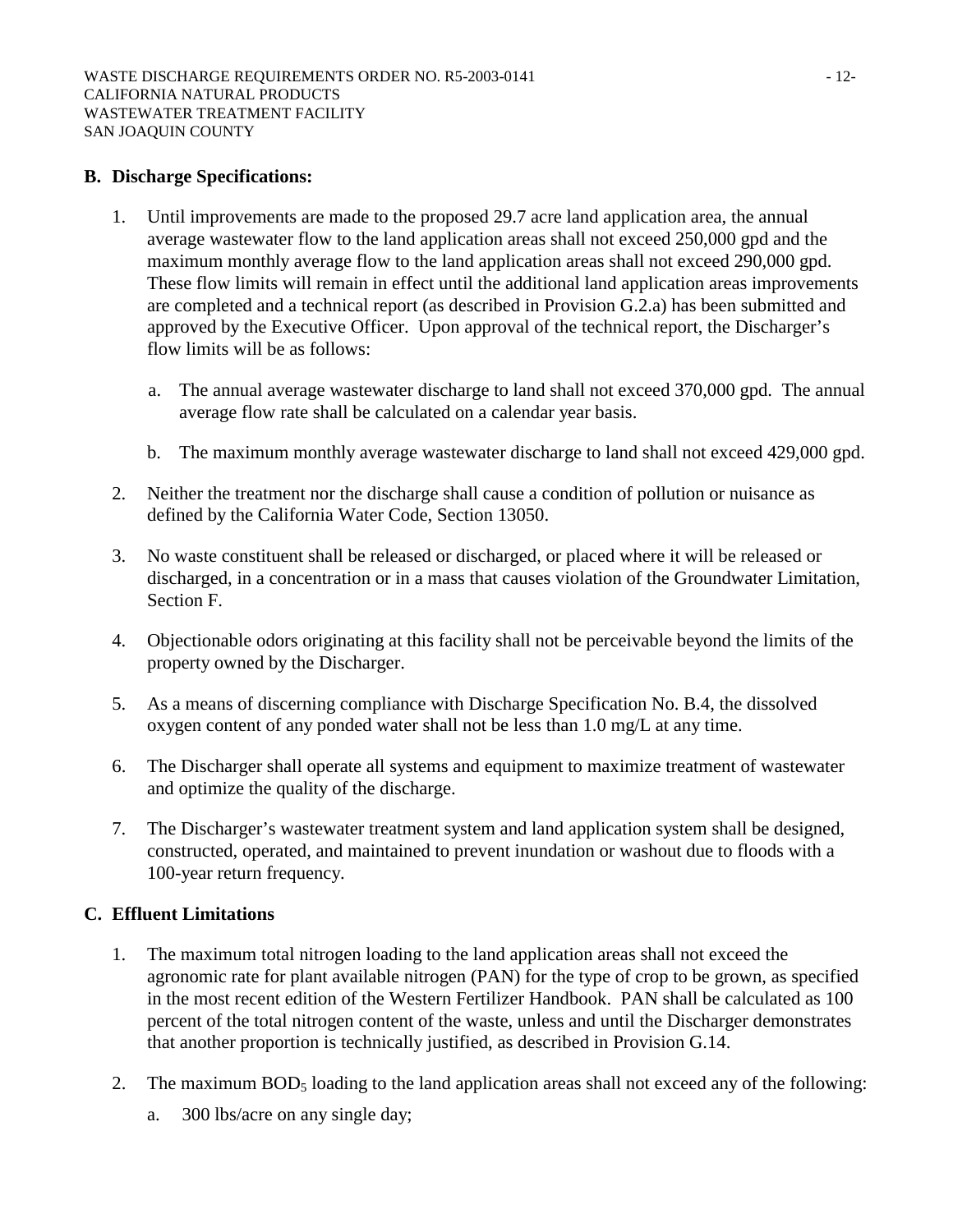## **B. Discharge Specifications:**

- 1. Until improvements are made to the proposed 29.7 acre land application area, the annual average wastewater flow to the land application areas shall not exceed 250,000 gpd and the maximum monthly average flow to the land application areas shall not exceed 290,000 gpd. These flow limits will remain in effect until the additional land application areas improvements are completed and a technical report (as described in Provision G.2.a) has been submitted and approved by the Executive Officer. Upon approval of the technical report, the Discharger's flow limits will be as follows:
	- a. The annual average wastewater discharge to land shall not exceed 370,000 gpd. The annual average flow rate shall be calculated on a calendar year basis.
	- b. The maximum monthly average wastewater discharge to land shall not exceed 429,000 gpd.
- 2. Neither the treatment nor the discharge shall cause a condition of pollution or nuisance as defined by the California Water Code, Section 13050.
- 3. No waste constituent shall be released or discharged, or placed where it will be released or discharged, in a concentration or in a mass that causes violation of the Groundwater Limitation, Section F.
- 4. Objectionable odors originating at this facility shall not be perceivable beyond the limits of the property owned by the Discharger.
- 5. As a means of discerning compliance with Discharge Specification No. B.4, the dissolved oxygen content of any ponded water shall not be less than 1.0 mg/L at any time.
- 6. The Discharger shall operate all systems and equipment to maximize treatment of wastewater and optimize the quality of the discharge.
- 7. The Discharger's wastewater treatment system and land application system shall be designed, constructed, operated, and maintained to prevent inundation or washout due to floods with a 100-year return frequency.

# **C. Effluent Limitations**

- 1. The maximum total nitrogen loading to the land application areas shall not exceed the agronomic rate for plant available nitrogen (PAN) for the type of crop to be grown, as specified in the most recent edition of the Western Fertilizer Handbook. PAN shall be calculated as 100 percent of the total nitrogen content of the waste, unless and until the Discharger demonstrates that another proportion is technically justified, as described in Provision G.14.
- 2. The maximum BOD5 loading to the land application areas shall not exceed any of the following:
	- a. 300 lbs/acre on any single day;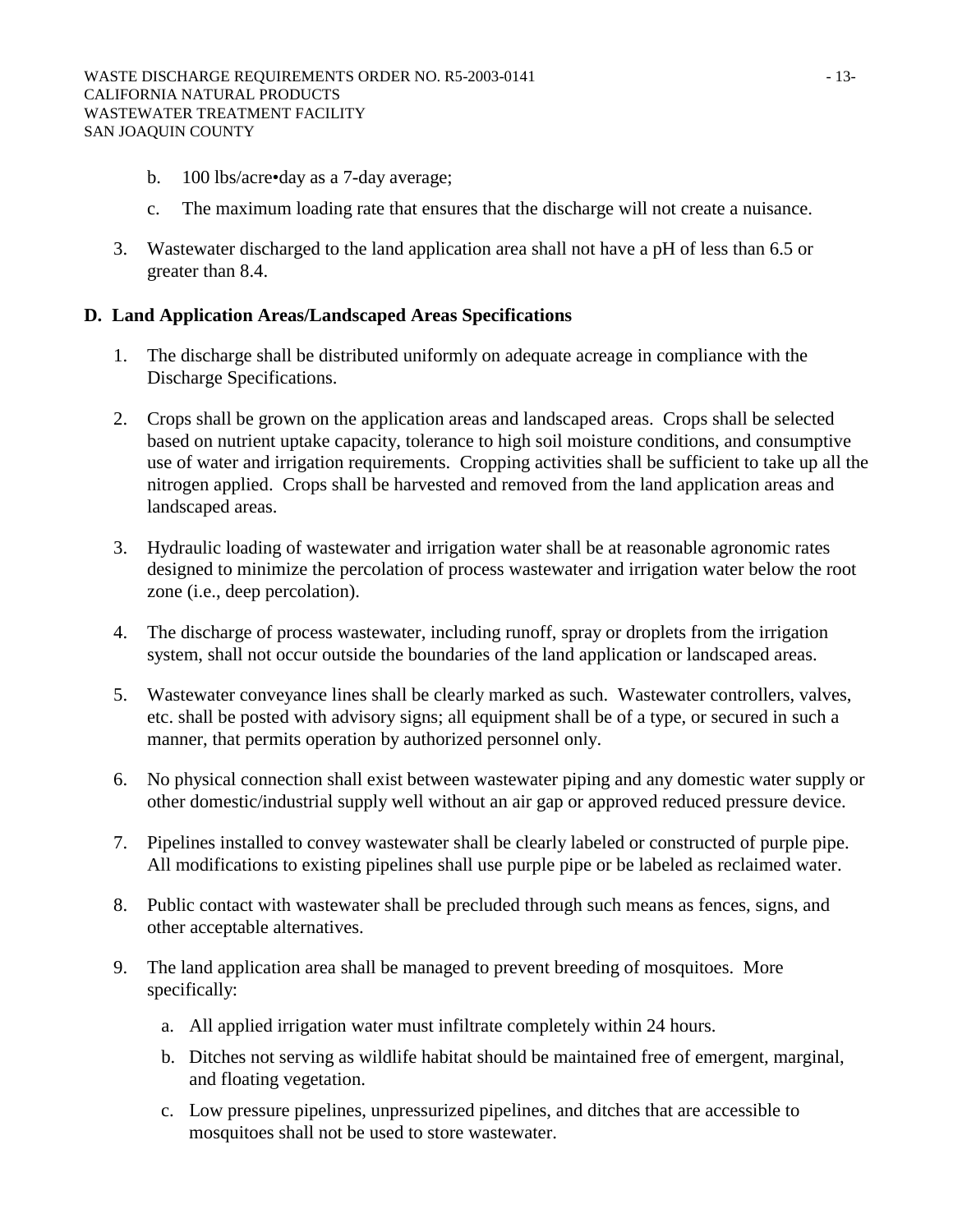- b. 100 lbs/acre•day as a 7-day average;
- c. The maximum loading rate that ensures that the discharge will not create a nuisance.
- 3. Wastewater discharged to the land application area shall not have a pH of less than 6.5 or greater than 8.4.

## **D. Land Application Areas/Landscaped Areas Specifications**

- 1. The discharge shall be distributed uniformly on adequate acreage in compliance with the Discharge Specifications.
- 2. Crops shall be grown on the application areas and landscaped areas. Crops shall be selected based on nutrient uptake capacity, tolerance to high soil moisture conditions, and consumptive use of water and irrigation requirements. Cropping activities shall be sufficient to take up all the nitrogen applied. Crops shall be harvested and removed from the land application areas and landscaped areas.
- 3. Hydraulic loading of wastewater and irrigation water shall be at reasonable agronomic rates designed to minimize the percolation of process wastewater and irrigation water below the root zone (i.e., deep percolation).
- 4. The discharge of process wastewater, including runoff, spray or droplets from the irrigation system, shall not occur outside the boundaries of the land application or landscaped areas.
- 5. Wastewater conveyance lines shall be clearly marked as such. Wastewater controllers, valves, etc. shall be posted with advisory signs; all equipment shall be of a type, or secured in such a manner, that permits operation by authorized personnel only.
- 6. No physical connection shall exist between wastewater piping and any domestic water supply or other domestic/industrial supply well without an air gap or approved reduced pressure device.
- 7. Pipelines installed to convey wastewater shall be clearly labeled or constructed of purple pipe. All modifications to existing pipelines shall use purple pipe or be labeled as reclaimed water.
- 8. Public contact with wastewater shall be precluded through such means as fences, signs, and other acceptable alternatives.
- 9. The land application area shall be managed to prevent breeding of mosquitoes. More specifically:
	- a. All applied irrigation water must infiltrate completely within 24 hours.
	- b. Ditches not serving as wildlife habitat should be maintained free of emergent, marginal, and floating vegetation.
	- c. Low pressure pipelines, unpressurized pipelines, and ditches that are accessible to mosquitoes shall not be used to store wastewater.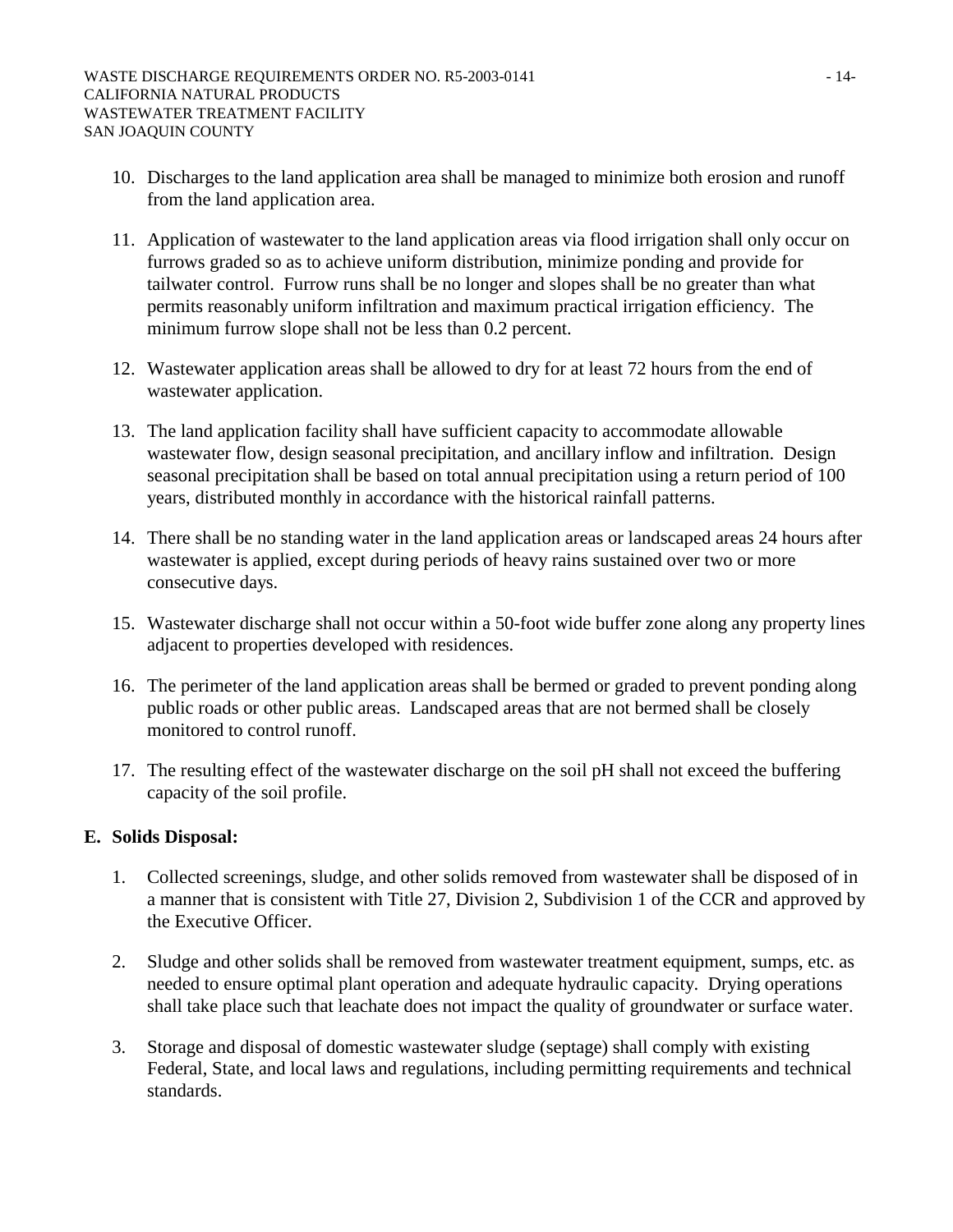- 10. Discharges to the land application area shall be managed to minimize both erosion and runoff from the land application area.
- 11. Application of wastewater to the land application areas via flood irrigation shall only occur on furrows graded so as to achieve uniform distribution, minimize ponding and provide for tailwater control. Furrow runs shall be no longer and slopes shall be no greater than what permits reasonably uniform infiltration and maximum practical irrigation efficiency. The minimum furrow slope shall not be less than 0.2 percent.
- 12. Wastewater application areas shall be allowed to dry for at least 72 hours from the end of wastewater application.
- 13. The land application facility shall have sufficient capacity to accommodate allowable wastewater flow, design seasonal precipitation, and ancillary inflow and infiltration. Design seasonal precipitation shall be based on total annual precipitation using a return period of 100 years, distributed monthly in accordance with the historical rainfall patterns.
- 14. There shall be no standing water in the land application areas or landscaped areas 24 hours after wastewater is applied, except during periods of heavy rains sustained over two or more consecutive days.
- 15. Wastewater discharge shall not occur within a 50-foot wide buffer zone along any property lines adjacent to properties developed with residences.
- 16. The perimeter of the land application areas shall be bermed or graded to prevent ponding along public roads or other public areas. Landscaped areas that are not bermed shall be closely monitored to control runoff.
- 17. The resulting effect of the wastewater discharge on the soil pH shall not exceed the buffering capacity of the soil profile.

## **E. Solids Disposal:**

- 1. Collected screenings, sludge, and other solids removed from wastewater shall be disposed of in a manner that is consistent with Title 27, Division 2, Subdivision 1 of the CCR and approved by the Executive Officer.
- 2. Sludge and other solids shall be removed from wastewater treatment equipment, sumps, etc. as needed to ensure optimal plant operation and adequate hydraulic capacity. Drying operations shall take place such that leachate does not impact the quality of groundwater or surface water.
- 3. Storage and disposal of domestic wastewater sludge (septage) shall comply with existing Federal, State, and local laws and regulations, including permitting requirements and technical standards.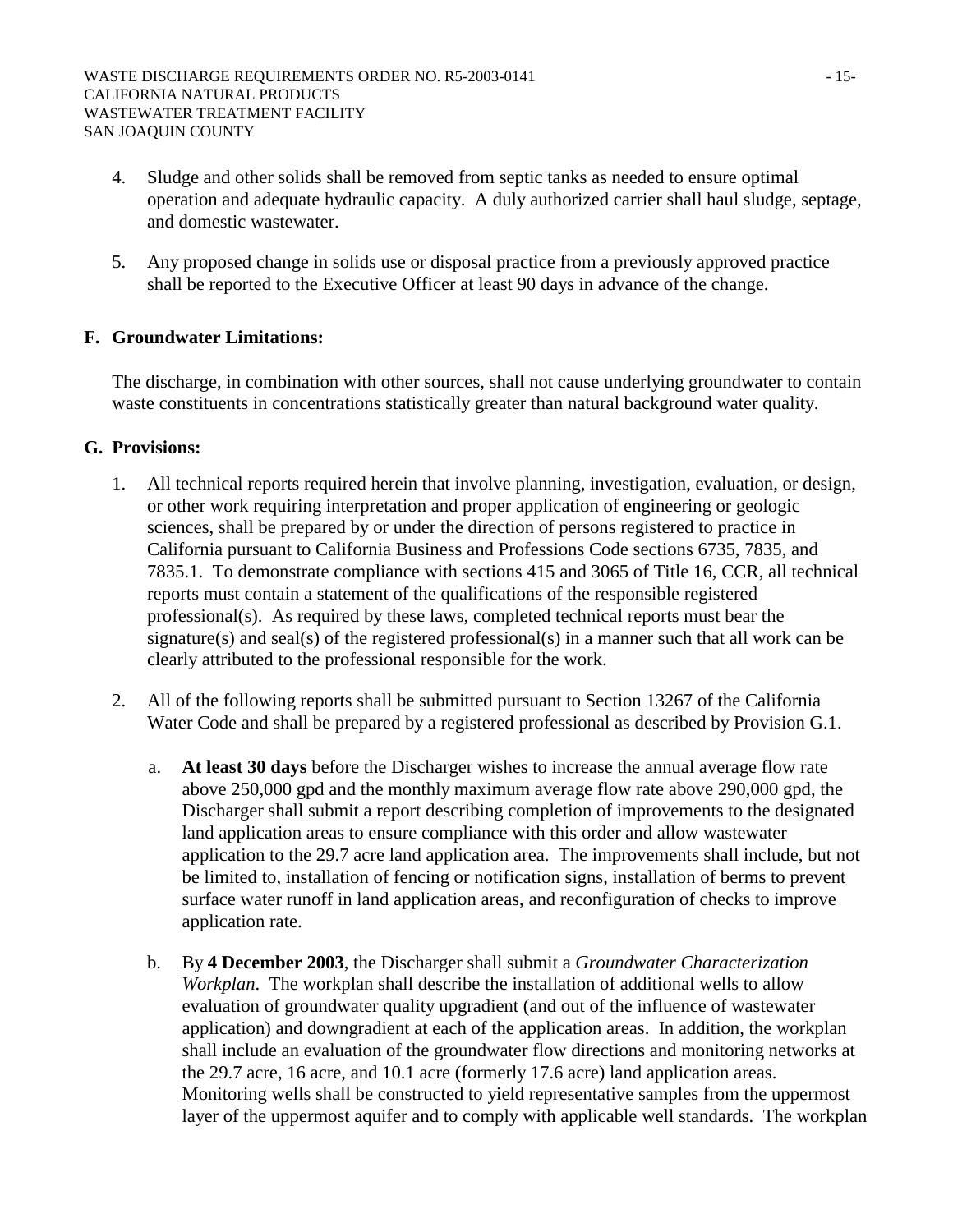- 4. Sludge and other solids shall be removed from septic tanks as needed to ensure optimal operation and adequate hydraulic capacity. A duly authorized carrier shall haul sludge, septage, and domestic wastewater.
- 5. Any proposed change in solids use or disposal practice from a previously approved practice shall be reported to the Executive Officer at least 90 days in advance of the change.

# **F. Groundwater Limitations:**

The discharge, in combination with other sources, shall not cause underlying groundwater to contain waste constituents in concentrations statistically greater than natural background water quality.

### **G. Provisions:**

- 1. All technical reports required herein that involve planning, investigation, evaluation, or design, or other work requiring interpretation and proper application of engineering or geologic sciences, shall be prepared by or under the direction of persons registered to practice in California pursuant to California Business and Professions Code sections 6735, 7835, and 7835.1. To demonstrate compliance with sections 415 and 3065 of Title 16, CCR, all technical reports must contain a statement of the qualifications of the responsible registered professional(s). As required by these laws, completed technical reports must bear the signature(s) and seal(s) of the registered professional(s) in a manner such that all work can be clearly attributed to the professional responsible for the work.
- 2. All of the following reports shall be submitted pursuant to Section 13267 of the California Water Code and shall be prepared by a registered professional as described by Provision G.1.
	- a. **At least 30 days** before the Discharger wishes to increase the annual average flow rate above 250,000 gpd and the monthly maximum average flow rate above 290,000 gpd, the Discharger shall submit a report describing completion of improvements to the designated land application areas to ensure compliance with this order and allow wastewater application to the 29.7 acre land application area. The improvements shall include, but not be limited to, installation of fencing or notification signs, installation of berms to prevent surface water runoff in land application areas, and reconfiguration of checks to improve application rate.
	- b. By **4 December 2003**, the Discharger shall submit a *Groundwater Characterization Workplan*. The workplan shall describe the installation of additional wells to allow evaluation of groundwater quality upgradient (and out of the influence of wastewater application) and downgradient at each of the application areas. In addition, the workplan shall include an evaluation of the groundwater flow directions and monitoring networks at the 29.7 acre, 16 acre, and 10.1 acre (formerly 17.6 acre) land application areas. Monitoring wells shall be constructed to yield representative samples from the uppermost layer of the uppermost aquifer and to comply with applicable well standards. The workplan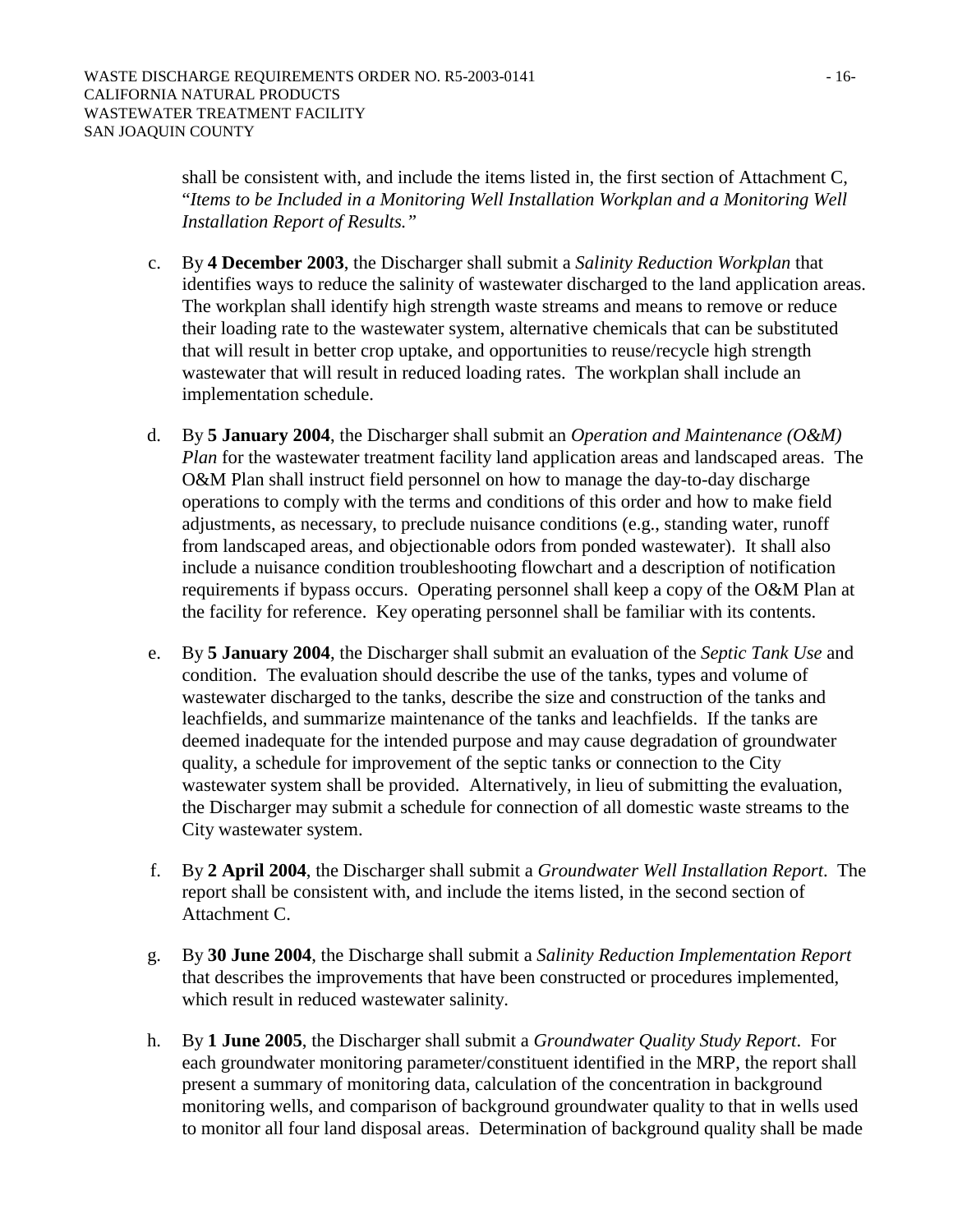shall be consistent with, and include the items listed in, the first section of Attachment C, "*Items to be Included in a Monitoring Well Installation Workplan and a Monitoring Well Installation Report of Results."*

- c. By **4 December 2003**, the Discharger shall submit a *Salinity Reduction Workplan* that identifies ways to reduce the salinity of wastewater discharged to the land application areas. The workplan shall identify high strength waste streams and means to remove or reduce their loading rate to the wastewater system, alternative chemicals that can be substituted that will result in better crop uptake, and opportunities to reuse/recycle high strength wastewater that will result in reduced loading rates. The workplan shall include an implementation schedule.
- d. By **5 January 2004**, the Discharger shall submit an *Operation and Maintenance (O&M) Plan* for the wastewater treatment facility land application areas and landscaped areas. The O&M Plan shall instruct field personnel on how to manage the day-to-day discharge operations to comply with the terms and conditions of this order and how to make field adjustments, as necessary, to preclude nuisance conditions (e.g., standing water, runoff from landscaped areas, and objectionable odors from ponded wastewater). It shall also include a nuisance condition troubleshooting flowchart and a description of notification requirements if bypass occurs. Operating personnel shall keep a copy of the O&M Plan at the facility for reference. Key operating personnel shall be familiar with its contents.
- e. By **5 January 2004**, the Discharger shall submit an evaluation of the *Septic Tank Use* and condition. The evaluation should describe the use of the tanks, types and volume of wastewater discharged to the tanks, describe the size and construction of the tanks and leachfields, and summarize maintenance of the tanks and leachfields. If the tanks are deemed inadequate for the intended purpose and may cause degradation of groundwater quality, a schedule for improvement of the septic tanks or connection to the City wastewater system shall be provided. Alternatively, in lieu of submitting the evaluation, the Discharger may submit a schedule for connection of all domestic waste streams to the City wastewater system.
- f. By **2 April 2004**, the Discharger shall submit a *Groundwater Well Installation Report*. The report shall be consistent with, and include the items listed, in the second section of Attachment C.
- g. By **30 June 2004**, the Discharge shall submit a *Salinity Reduction Implementation Report* that describes the improvements that have been constructed or procedures implemented, which result in reduced wastewater salinity.
- h. By **1 June 2005**, the Discharger shall submit a *Groundwater Quality Study Report*. For each groundwater monitoring parameter/constituent identified in the MRP, the report shall present a summary of monitoring data, calculation of the concentration in background monitoring wells, and comparison of background groundwater quality to that in wells used to monitor all four land disposal areas. Determination of background quality shall be made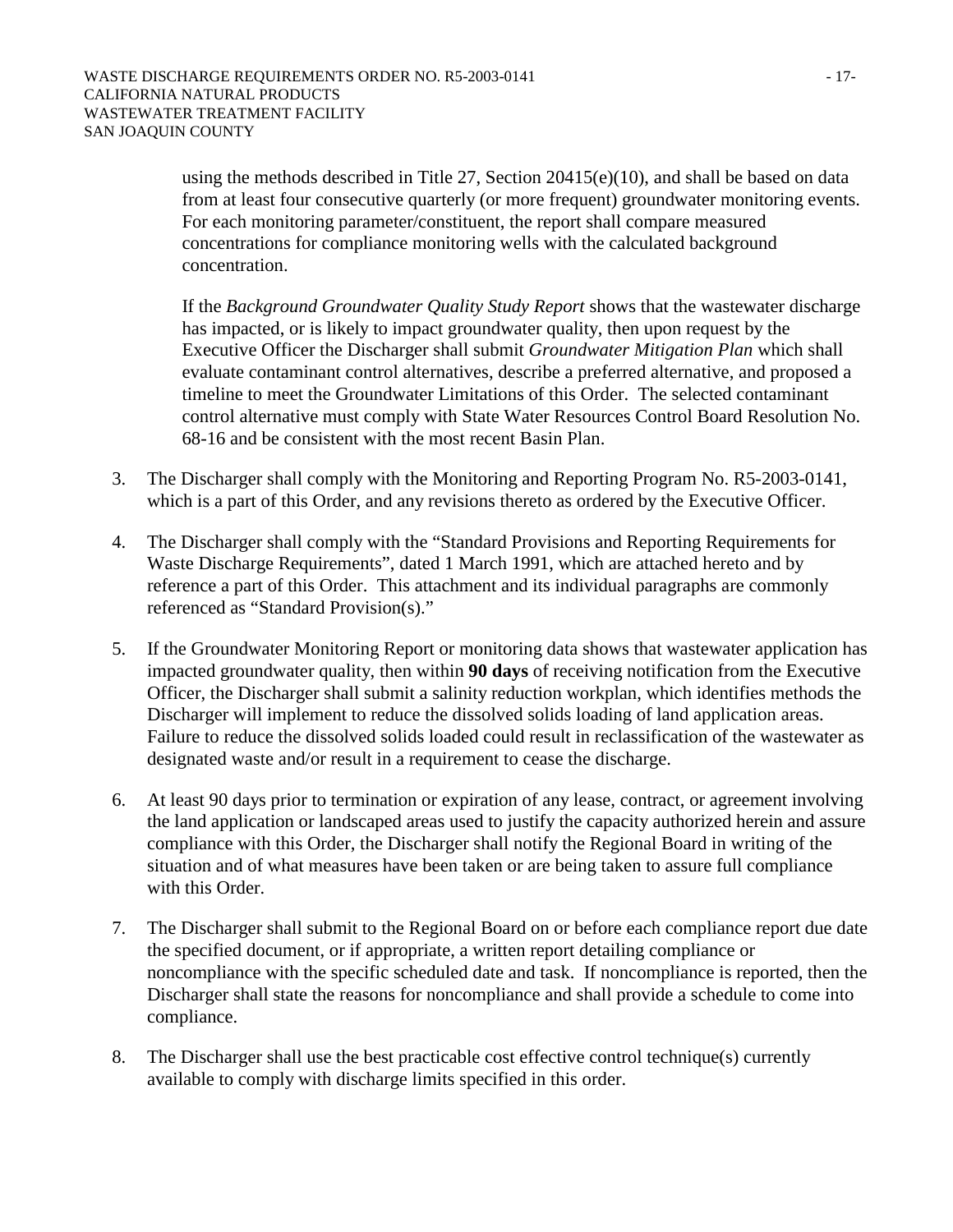using the methods described in Title 27, Section 20415(e)(10), and shall be based on data from at least four consecutive quarterly (or more frequent) groundwater monitoring events. For each monitoring parameter/constituent, the report shall compare measured concentrations for compliance monitoring wells with the calculated background concentration.

If the *Background Groundwater Quality Study Report* shows that the wastewater discharge has impacted, or is likely to impact groundwater quality, then upon request by the Executive Officer the Discharger shall submit *Groundwater Mitigation Plan* which shall evaluate contaminant control alternatives, describe a preferred alternative, and proposed a timeline to meet the Groundwater Limitations of this Order. The selected contaminant control alternative must comply with State Water Resources Control Board Resolution No. 68-16 and be consistent with the most recent Basin Plan.

- 3. The Discharger shall comply with the Monitoring and Reporting Program No. R5-2003-0141, which is a part of this Order, and any revisions thereto as ordered by the Executive Officer.
- 4. The Discharger shall comply with the "Standard Provisions and Reporting Requirements for Waste Discharge Requirements", dated 1 March 1991, which are attached hereto and by reference a part of this Order. This attachment and its individual paragraphs are commonly referenced as "Standard Provision(s)."
- 5. If the Groundwater Monitoring Report or monitoring data shows that wastewater application has impacted groundwater quality, then within **90 days** of receiving notification from the Executive Officer, the Discharger shall submit a salinity reduction workplan, which identifies methods the Discharger will implement to reduce the dissolved solids loading of land application areas. Failure to reduce the dissolved solids loaded could result in reclassification of the wastewater as designated waste and/or result in a requirement to cease the discharge.
- 6. At least 90 days prior to termination or expiration of any lease, contract, or agreement involving the land application or landscaped areas used to justify the capacity authorized herein and assure compliance with this Order, the Discharger shall notify the Regional Board in writing of the situation and of what measures have been taken or are being taken to assure full compliance with this Order.
- 7. The Discharger shall submit to the Regional Board on or before each compliance report due date the specified document, or if appropriate, a written report detailing compliance or noncompliance with the specific scheduled date and task. If noncompliance is reported, then the Discharger shall state the reasons for noncompliance and shall provide a schedule to come into compliance.
- 8. The Discharger shall use the best practicable cost effective control technique(s) currently available to comply with discharge limits specified in this order.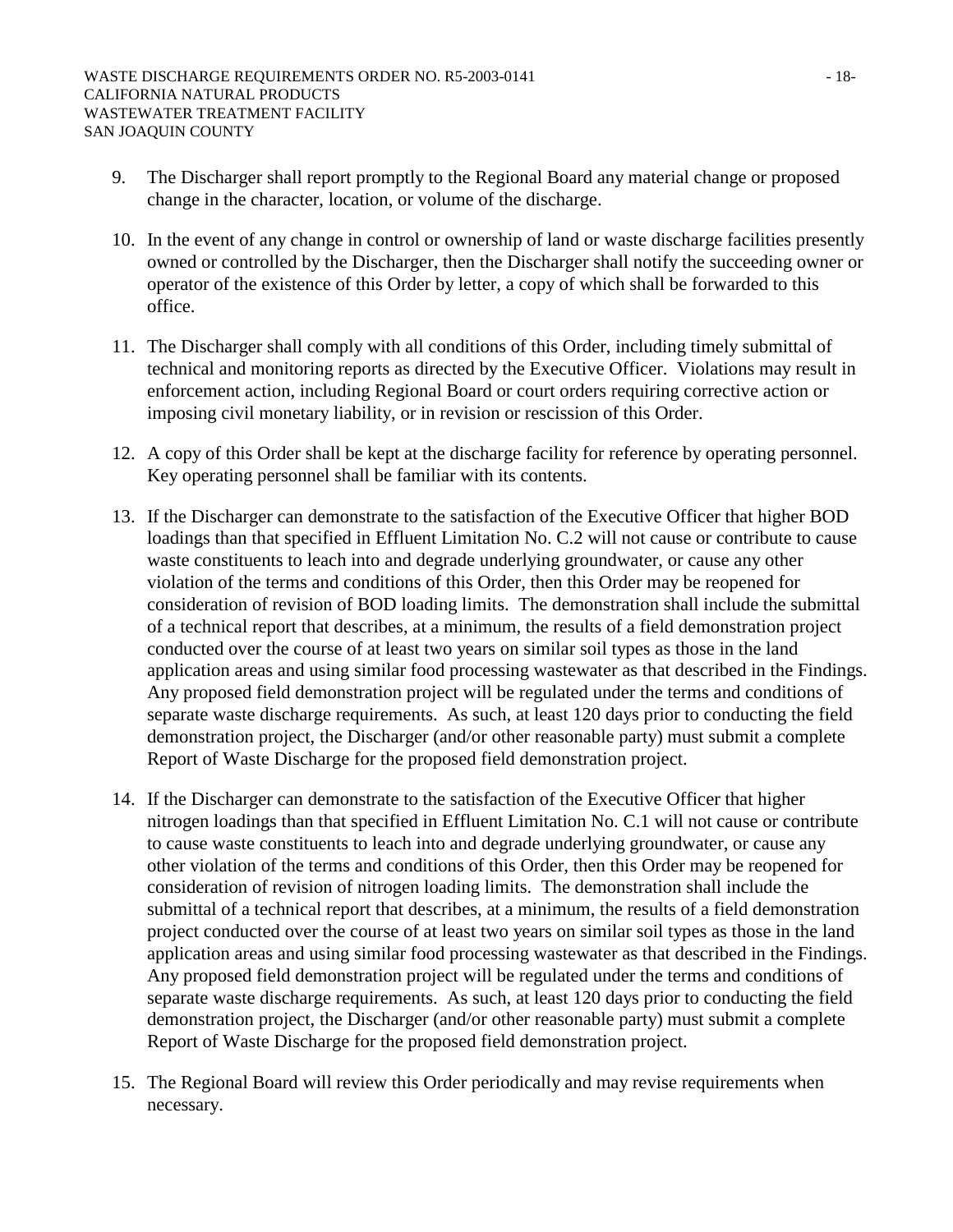- 9. The Discharger shall report promptly to the Regional Board any material change or proposed change in the character, location, or volume of the discharge.
- 10. In the event of any change in control or ownership of land or waste discharge facilities presently owned or controlled by the Discharger, then the Discharger shall notify the succeeding owner or operator of the existence of this Order by letter, a copy of which shall be forwarded to this office.
- 11. The Discharger shall comply with all conditions of this Order, including timely submittal of technical and monitoring reports as directed by the Executive Officer. Violations may result in enforcement action, including Regional Board or court orders requiring corrective action or imposing civil monetary liability, or in revision or rescission of this Order.
- 12. A copy of this Order shall be kept at the discharge facility for reference by operating personnel. Key operating personnel shall be familiar with its contents.
- 13. If the Discharger can demonstrate to the satisfaction of the Executive Officer that higher BOD loadings than that specified in Effluent Limitation No. C.2 will not cause or contribute to cause waste constituents to leach into and degrade underlying groundwater, or cause any other violation of the terms and conditions of this Order, then this Order may be reopened for consideration of revision of BOD loading limits. The demonstration shall include the submittal of a technical report that describes, at a minimum, the results of a field demonstration project conducted over the course of at least two years on similar soil types as those in the land application areas and using similar food processing wastewater as that described in the Findings. Any proposed field demonstration project will be regulated under the terms and conditions of separate waste discharge requirements. As such, at least 120 days prior to conducting the field demonstration project, the Discharger (and/or other reasonable party) must submit a complete Report of Waste Discharge for the proposed field demonstration project.
- 14. If the Discharger can demonstrate to the satisfaction of the Executive Officer that higher nitrogen loadings than that specified in Effluent Limitation No. C.1 will not cause or contribute to cause waste constituents to leach into and degrade underlying groundwater, or cause any other violation of the terms and conditions of this Order, then this Order may be reopened for consideration of revision of nitrogen loading limits. The demonstration shall include the submittal of a technical report that describes, at a minimum, the results of a field demonstration project conducted over the course of at least two years on similar soil types as those in the land application areas and using similar food processing wastewater as that described in the Findings. Any proposed field demonstration project will be regulated under the terms and conditions of separate waste discharge requirements. As such, at least 120 days prior to conducting the field demonstration project, the Discharger (and/or other reasonable party) must submit a complete Report of Waste Discharge for the proposed field demonstration project.
- 15. The Regional Board will review this Order periodically and may revise requirements when necessary.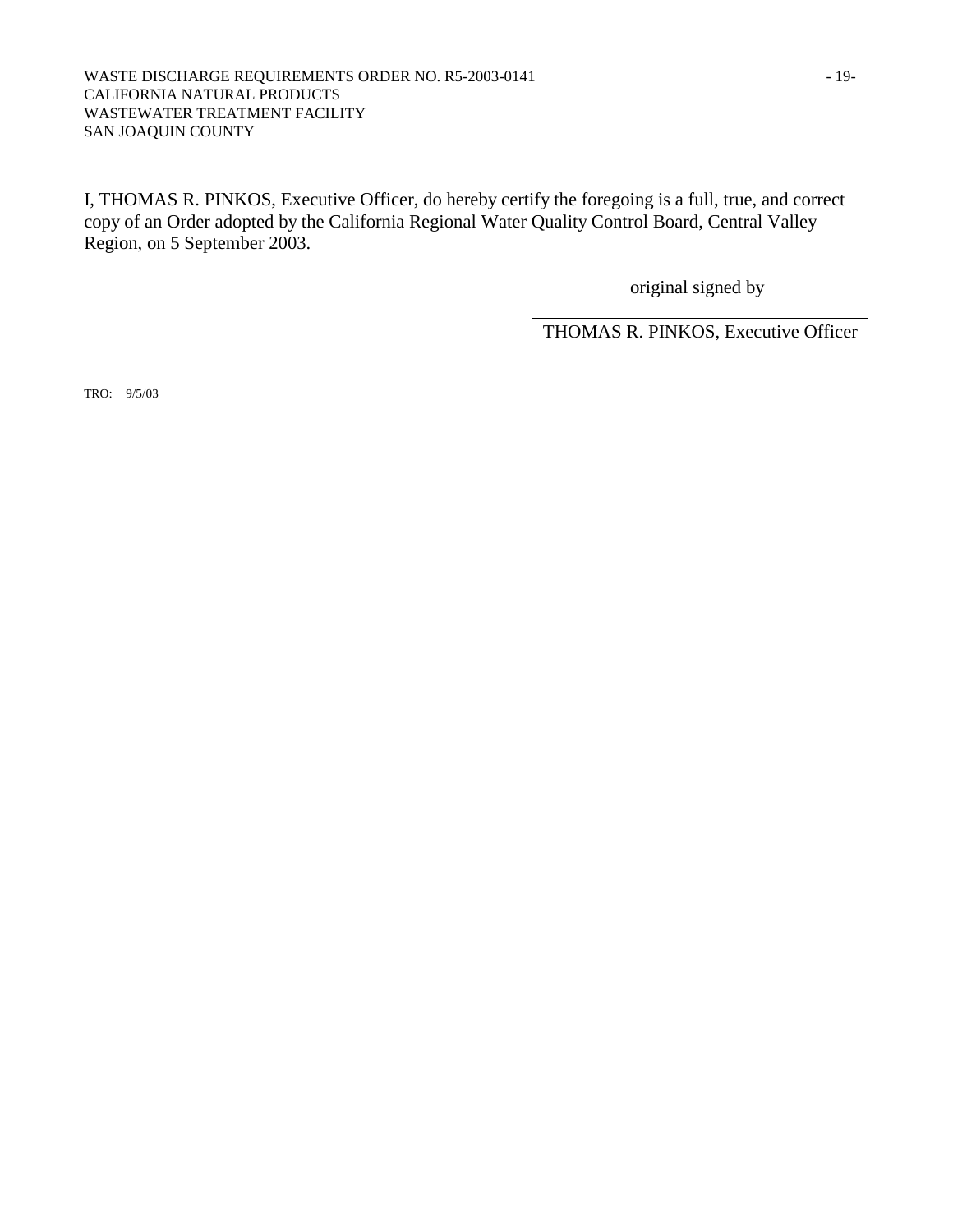#### WASTE DISCHARGE REQUIREMENTS ORDER NO. R5-2003-0141 - 19-CALIFORNIA NATURAL PRODUCTS WASTEWATER TREATMENT FACILITY SAN JOAQUIN COUNTY

I, THOMAS R. PINKOS, Executive Officer, do hereby certify the foregoing is a full, true, and correct copy of an Order adopted by the California Regional Water Quality Control Board, Central Valley Region, on 5 September 2003.

original signed by

THOMAS R. PINKOS, Executive Officer

TRO: 9/5/03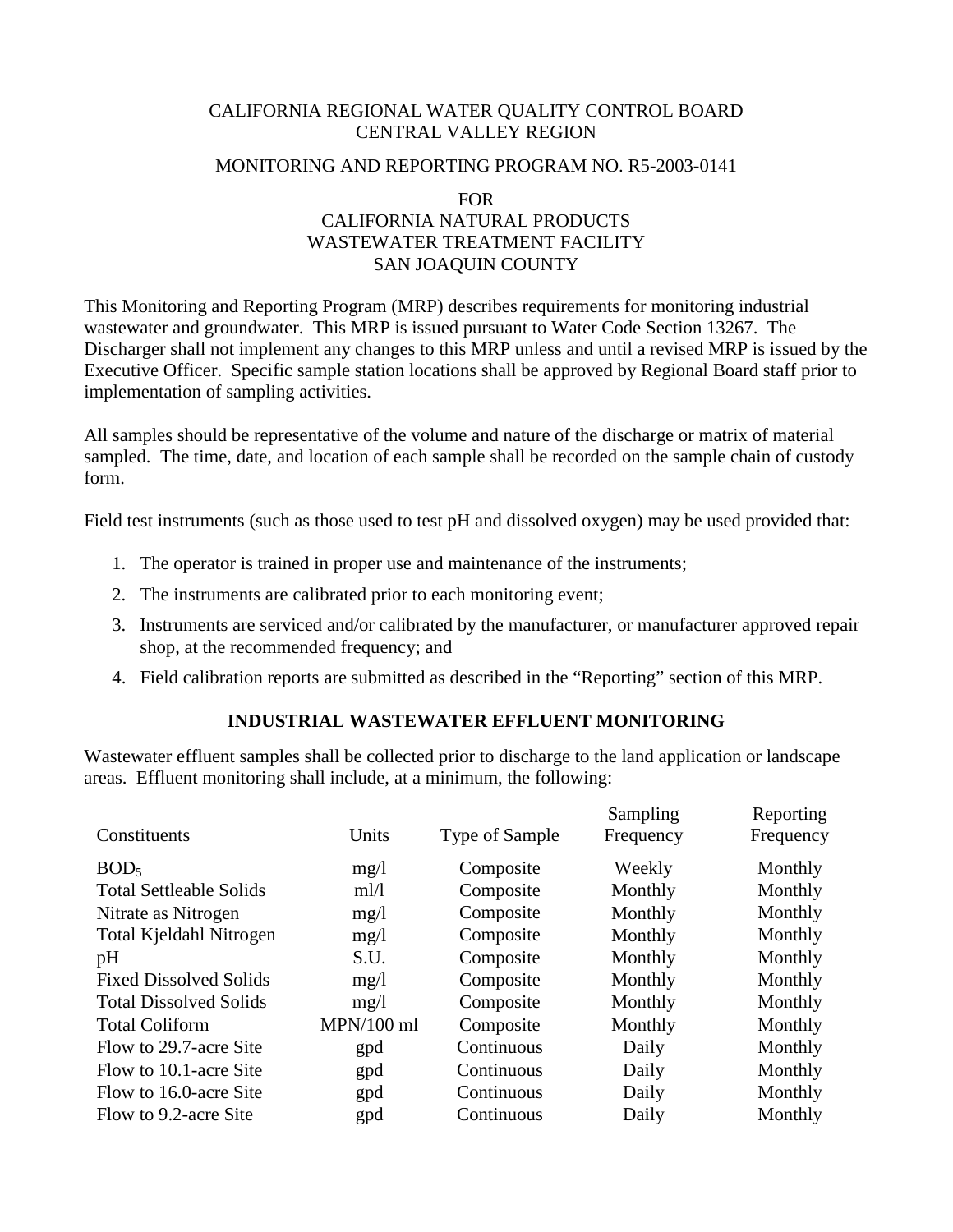# CALIFORNIA REGIONAL WATER QUALITY CONTROL BOARD CENTRAL VALLEY REGION

### MONITORING AND REPORTING PROGRAM NO. R5-2003-0141

FOR

# CALIFORNIA NATURAL PRODUCTS WASTEWATER TREATMENT FACILITY SAN JOAQUIN COUNTY

This Monitoring and Reporting Program (MRP) describes requirements for monitoring industrial wastewater and groundwater. This MRP is issued pursuant to Water Code Section 13267. The Discharger shall not implement any changes to this MRP unless and until a revised MRP is issued by the Executive Officer. Specific sample station locations shall be approved by Regional Board staff prior to implementation of sampling activities.

All samples should be representative of the volume and nature of the discharge or matrix of material sampled. The time, date, and location of each sample shall be recorded on the sample chain of custody form.

Field test instruments (such as those used to test pH and dissolved oxygen) may be used provided that:

- 1. The operator is trained in proper use and maintenance of the instruments;
- 2. The instruments are calibrated prior to each monitoring event;
- 3. Instruments are serviced and/or calibrated by the manufacturer, or manufacturer approved repair shop, at the recommended frequency; and
- 4. Field calibration reports are submitted as described in the "Reporting" section of this MRP.

# **INDUSTRIAL WASTEWATER EFFLUENT MONITORING**

Wastewater effluent samples shall be collected prior to discharge to the land application or landscape areas. Effluent monitoring shall include, at a minimum, the following:

| Constituents                   | Units        | Type of Sample | Sampling<br>Frequency | Reporting<br>Frequency |
|--------------------------------|--------------|----------------|-----------------------|------------------------|
| BOD <sub>5</sub>               | mg/1         | Composite      | Weekly                | Monthly                |
| <b>Total Settleable Solids</b> | ml/l         | Composite      | Monthly               | Monthly                |
| Nitrate as Nitrogen            | mg/1         | Composite      | Monthly               | Monthly                |
| Total Kjeldahl Nitrogen        | mg/l         | Composite      | Monthly               | Monthly                |
| pH                             | S.U.         | Composite      | Monthly               | Monthly                |
| <b>Fixed Dissolved Solids</b>  | mg/1         | Composite      | Monthly               | Monthly                |
| <b>Total Dissolved Solids</b>  | mg/1         | Composite      | Monthly               | Monthly                |
| <b>Total Coliform</b>          | $MPN/100$ ml | Composite      | Monthly               | Monthly                |
| Flow to 29.7-acre Site         | gpd          | Continuous     | Daily                 | Monthly                |
| Flow to 10.1-acre Site         | gpd          | Continuous     | Daily                 | Monthly                |
| Flow to 16.0-acre Site         | gpd          | Continuous     | Daily                 | Monthly                |
| Flow to 9.2-acre Site          | gpd          | Continuous     | Daily                 | Monthly                |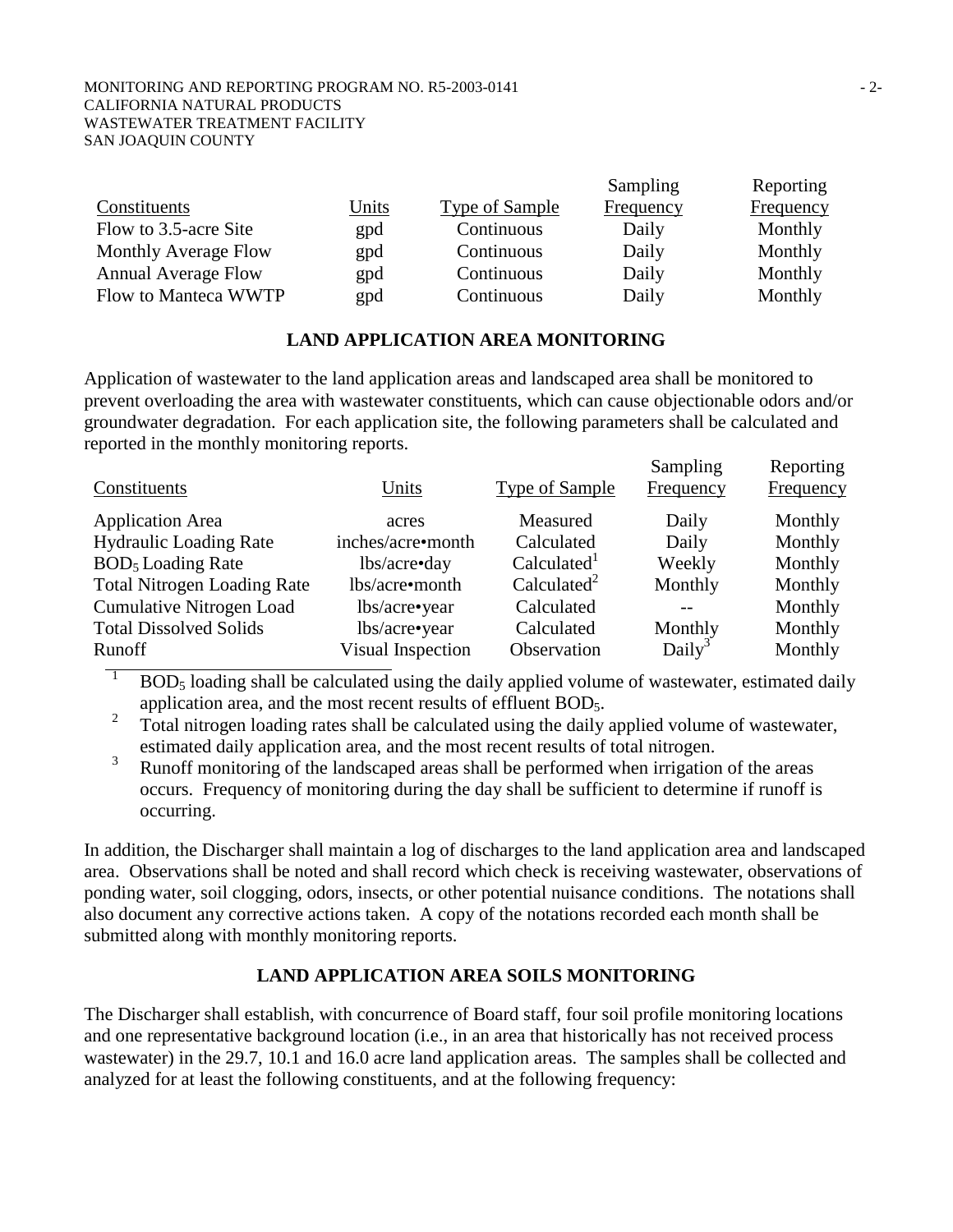#### MONITORING AND REPORTING PROGRAM NO. R5-2003-0141  $-2$ -CALIFORNIA NATURAL PRODUCTS WASTEWATER TREATMENT FACILITY SAN JOAQUIN COUNTY

|                            |       |                | Sampling  | Reporting |
|----------------------------|-------|----------------|-----------|-----------|
| Constituents               | Units | Type of Sample | Frequency | Frequency |
| Flow to 3.5-acre Site      | gpd   | Continuous     | Daily     | Monthly   |
| Monthly Average Flow       | gpd   | Continuous     | Daily     | Monthly   |
| <b>Annual Average Flow</b> | gpd   | Continuous     | Daily     | Monthly   |
| Flow to Manteca WWTP       | gpd   | Continuous     | Daily     | Monthly   |

## **LAND APPLICATION AREA MONITORING**

Application of wastewater to the land application areas and landscaped area shall be monitored to prevent overloading the area with wastewater constituents, which can cause objectionable odors and/or groundwater degradation. For each application site, the following parameters shall be calculated and reported in the monthly monitoring reports.  $S<sub>general</sub>$  $R = \mu$ 

| Constituents                        | Units             | Type of Sample          | Sampling<br>Frequency | Reporting<br>Frequency |
|-------------------------------------|-------------------|-------------------------|-----------------------|------------------------|
| <b>Application Area</b>             | acres             | Measured                | Daily                 | Monthly                |
| <b>Hydraulic Loading Rate</b>       | inches/acre•month | Calculated              | Daily                 | Monthly                |
| <b>BOD<sub>5</sub></b> Loading Rate | lbs/acre•day      | Calculated <sup>1</sup> | Weekly                | Monthly                |
| <b>Total Nitrogen Loading Rate</b>  | lbs/acre•month    | Calculated <sup>2</sup> | Monthly               | Monthly                |
| <b>Cumulative Nitrogen Load</b>     | lbs/acre•year     | Calculated              |                       | Monthly                |
| <b>Total Dissolved Solids</b>       | lbs/acre•year     | Calculated              | Monthly               | Monthly                |
| Runoff                              | Visual Inspection | Observation             | Daily <sup>3</sup>    | Monthly                |

1 BOD<sub>5</sub> loading shall be calculated using the daily applied volume of wastewater, estimated daily application area, and the most recent results of effluent  $BOD<sub>5</sub>$ .<br>  $\frac{2}{3}$  Total nitrogen logding mates shall be established using the deily

 Total nitrogen loading rates shall be calculated using the daily applied volume of wastewater, estimated daily application area, and the most recent results of total nitrogen.

3 Runoff monitoring of the landscaped areas shall be performed when irrigation of the areas occurs. Frequency of monitoring during the day shall be sufficient to determine if runoff is occurring.

In addition, the Discharger shall maintain a log of discharges to the land application area and landscaped area. Observations shall be noted and shall record which check is receiving wastewater, observations of ponding water, soil clogging, odors, insects, or other potential nuisance conditions. The notations shall also document any corrective actions taken. A copy of the notations recorded each month shall be submitted along with monthly monitoring reports.

# **LAND APPLICATION AREA SOILS MONITORING**

The Discharger shall establish, with concurrence of Board staff, four soil profile monitoring locations and one representative background location (i.e., in an area that historically has not received process wastewater) in the 29.7, 10.1 and 16.0 acre land application areas. The samples shall be collected and analyzed for at least the following constituents, and at the following frequency: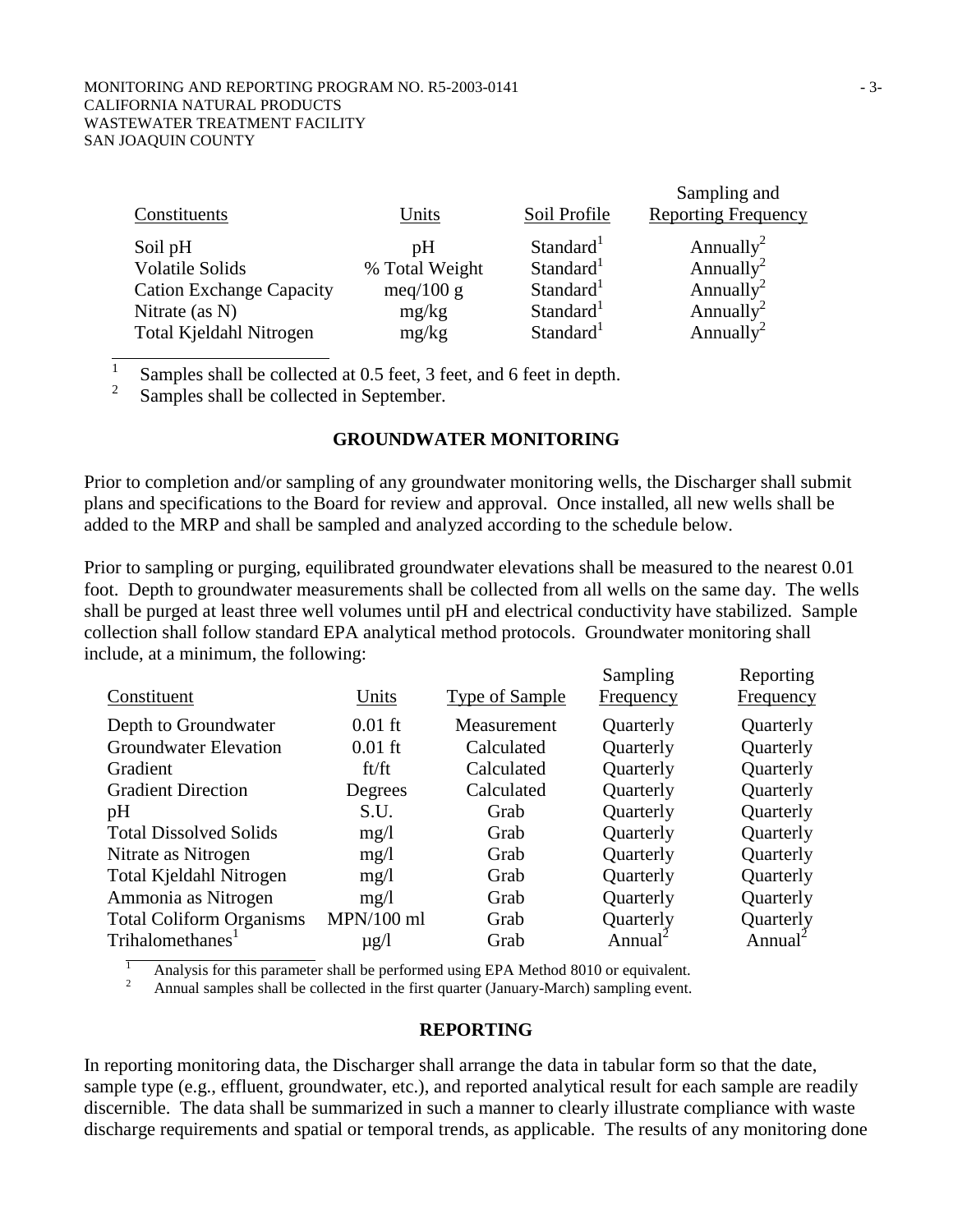|                                 |                |                       | Sampling and               |
|---------------------------------|----------------|-----------------------|----------------------------|
| Constituents                    | Units          | Soil Profile          | <b>Reporting Frequency</b> |
| Soil pH                         | pΗ             | Standard <sup>1</sup> | Annually <sup>2</sup>      |
| <b>Volatile Solids</b>          | % Total Weight | Standard <sup>1</sup> | Annually <sup>2</sup>      |
| <b>Cation Exchange Capacity</b> | meq/100 g      | Standard <sup>1</sup> | Annually <sup>2</sup>      |
| Nitrate (as $N$ )               | mg/kg          | Standard <sup>1</sup> | Annually <sup>2</sup>      |
| Total Kjeldahl Nitrogen         | mg/kg          | Standard <sup>1</sup> | Annually <sup>2</sup>      |

1 Samples shall be collected at 0.5 feet, 3 feet, and 6 feet in depth. 2

Samples shall be collected in September.

### **GROUNDWATER MONITORING**

Prior to completion and/or sampling of any groundwater monitoring wells, the Discharger shall submit plans and specifications to the Board for review and approval. Once installed, all new wells shall be added to the MRP and shall be sampled and analyzed according to the schedule below.

Prior to sampling or purging, equilibrated groundwater elevations shall be measured to the nearest 0.01 foot. Depth to groundwater measurements shall be collected from all wells on the same day. The wells shall be purged at least three well volumes until pH and electrical conductivity have stabilized. Sample collection shall follow standard EPA analytical method protocols. Groundwater monitoring shall include, at a minimum, the following:

| Constituent                     | Units        | <b>Type of Sample</b> | Sampling<br><b>Frequency</b> | Reporting<br><b>Frequency</b> |
|---------------------------------|--------------|-----------------------|------------------------------|-------------------------------|
| Depth to Groundwater            | $0.01$ ft    | Measurement           | Quarterly                    | Quarterly                     |
| <b>Groundwater Elevation</b>    | $0.01$ ft    | Calculated            | Quarterly                    | Quarterly                     |
| Gradient                        | ft/ft        | Calculated            | Quarterly                    | Quarterly                     |
| <b>Gradient Direction</b>       | Degrees      | Calculated            | Quarterly                    | Quarterly                     |
| pH                              | S.U.         | Grab                  | Quarterly                    | Quarterly                     |
| <b>Total Dissolved Solids</b>   | mg/1         | Grab                  | Quarterly                    | Quarterly                     |
| Nitrate as Nitrogen             | mg/1         | Grab                  | Quarterly                    | Quarterly                     |
| Total Kjeldahl Nitrogen         | mg/1         | Grab                  | Quarterly                    | Quarterly                     |
| Ammonia as Nitrogen             | mg/1         | Grab                  | Quarterly                    | Quarterly                     |
| <b>Total Coliform Organisms</b> | $MPN/100$ ml | Grab                  | Quarterly                    | Quarterly                     |
| Trihalomethanes <sup>1</sup>    | $\mu$ g/l    | Grab                  | Annual <sup>2</sup>          | Annual <sup>2</sup>           |
|                                 |              |                       |                              |                               |

 1 Analysis for this parameter shall be performed using EPA Method 8010 or equivalent.

2 Annual samples shall be collected in the first quarter (January-March) sampling event.

### **REPORTING**

In reporting monitoring data, the Discharger shall arrange the data in tabular form so that the date, sample type (e.g., effluent, groundwater, etc.), and reported analytical result for each sample are readily discernible. The data shall be summarized in such a manner to clearly illustrate compliance with waste discharge requirements and spatial or temporal trends, as applicable. The results of any monitoring done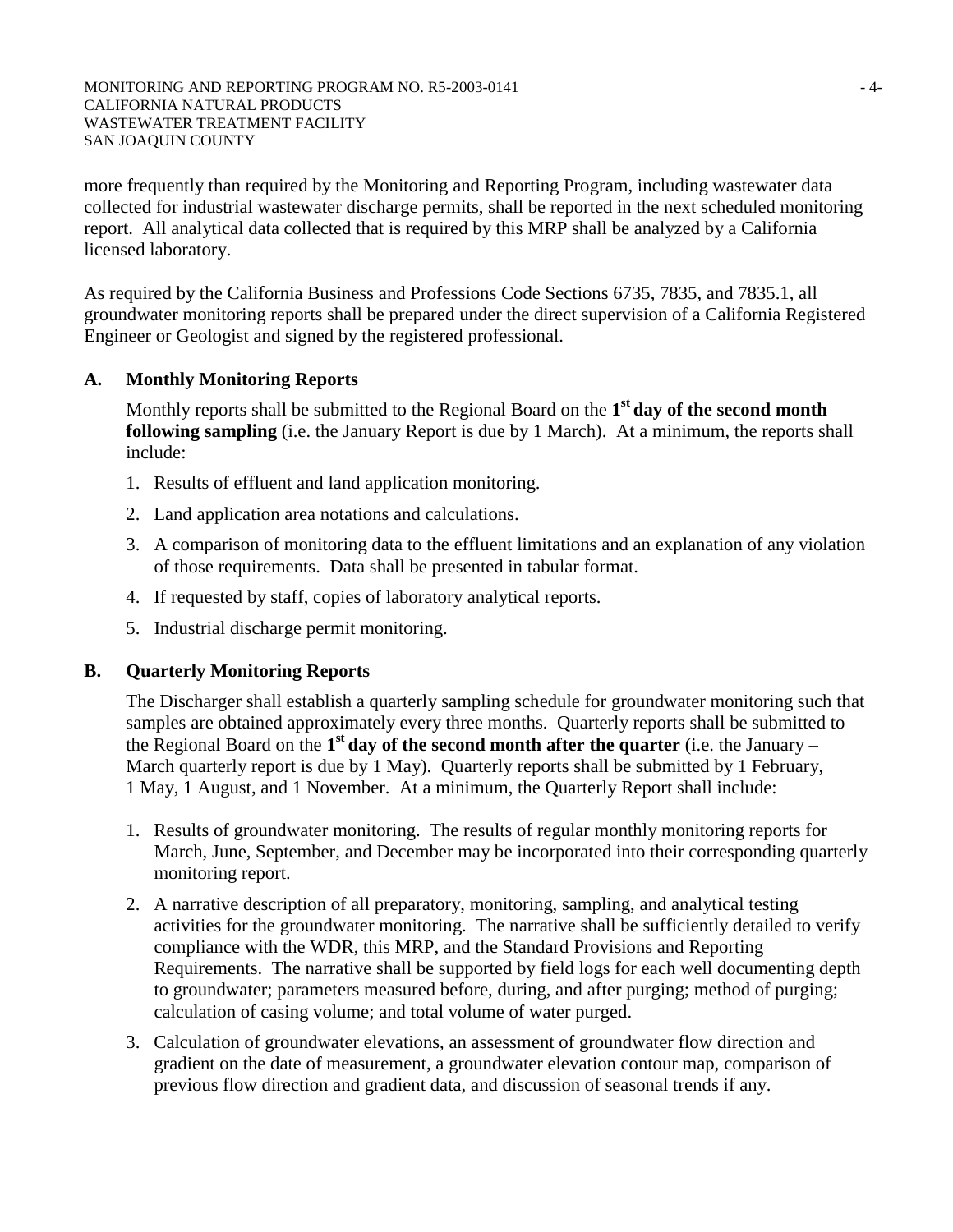MONITORING AND REPORTING PROGRAM NO. R5-2003-0141  $-4-$ CALIFORNIA NATURAL PRODUCTS WASTEWATER TREATMENT FACILITY SAN JOAQUIN COUNTY

more frequently than required by the Monitoring and Reporting Program, including wastewater data collected for industrial wastewater discharge permits, shall be reported in the next scheduled monitoring report. All analytical data collected that is required by this MRP shall be analyzed by a California licensed laboratory.

As required by the California Business and Professions Code Sections 6735, 7835, and 7835.1, all groundwater monitoring reports shall be prepared under the direct supervision of a California Registered Engineer or Geologist and signed by the registered professional.

# **A. Monthly Monitoring Reports**

Monthly reports shall be submitted to the Regional Board on the **1st day of the second month following sampling** (i.e. the January Report is due by 1 March). At a minimum, the reports shall include:

- 1. Results of effluent and land application monitoring.
- 2. Land application area notations and calculations.
- 3. A comparison of monitoring data to the effluent limitations and an explanation of any violation of those requirements. Data shall be presented in tabular format.
- 4. If requested by staff, copies of laboratory analytical reports.
- 5. Industrial discharge permit monitoring.

# **B. Quarterly Monitoring Reports**

The Discharger shall establish a quarterly sampling schedule for groundwater monitoring such that samples are obtained approximately every three months. Quarterly reports shall be submitted to the Regional Board on the **1st day of the second month after the quarter** (i.e. the January – March quarterly report is due by 1 May). Quarterly reports shall be submitted by 1 February, 1 May, 1 August, and 1 November. At a minimum, the Quarterly Report shall include:

- 1. Results of groundwater monitoring. The results of regular monthly monitoring reports for March, June, September, and December may be incorporated into their corresponding quarterly monitoring report.
- 2. A narrative description of all preparatory, monitoring, sampling, and analytical testing activities for the groundwater monitoring. The narrative shall be sufficiently detailed to verify compliance with the WDR, this MRP, and the Standard Provisions and Reporting Requirements. The narrative shall be supported by field logs for each well documenting depth to groundwater; parameters measured before, during, and after purging; method of purging; calculation of casing volume; and total volume of water purged.
- 3. Calculation of groundwater elevations, an assessment of groundwater flow direction and gradient on the date of measurement, a groundwater elevation contour map, comparison of previous flow direction and gradient data, and discussion of seasonal trends if any.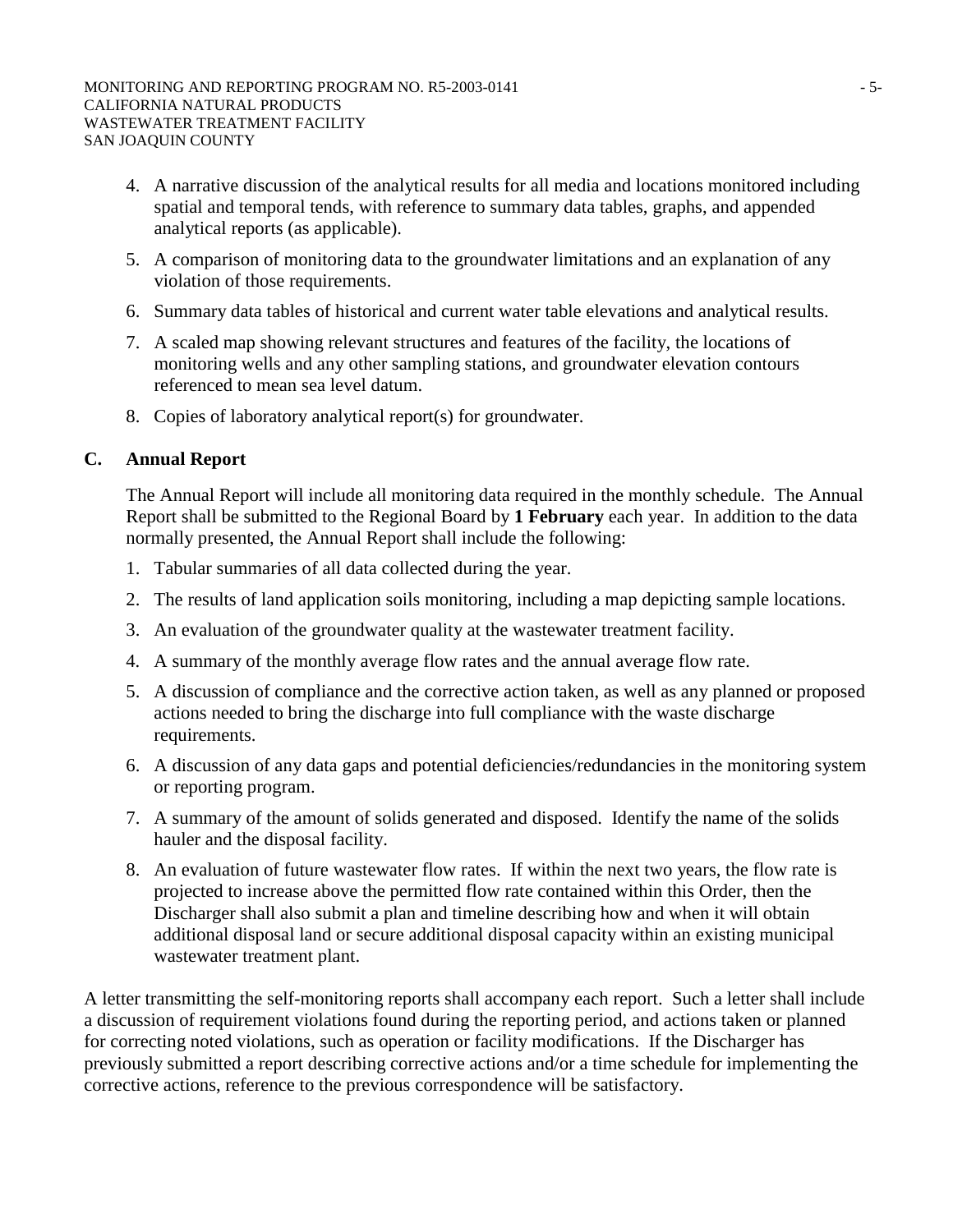- 4. A narrative discussion of the analytical results for all media and locations monitored including spatial and temporal tends, with reference to summary data tables, graphs, and appended analytical reports (as applicable).
- 5. A comparison of monitoring data to the groundwater limitations and an explanation of any violation of those requirements.
- 6. Summary data tables of historical and current water table elevations and analytical results.
- 7. A scaled map showing relevant structures and features of the facility, the locations of monitoring wells and any other sampling stations, and groundwater elevation contours referenced to mean sea level datum.
- 8. Copies of laboratory analytical report(s) for groundwater.

# **C. Annual Report**

The Annual Report will include all monitoring data required in the monthly schedule. The Annual Report shall be submitted to the Regional Board by **1 February** each year. In addition to the data normally presented, the Annual Report shall include the following:

- 1. Tabular summaries of all data collected during the year.
- 2. The results of land application soils monitoring, including a map depicting sample locations.
- 3. An evaluation of the groundwater quality at the wastewater treatment facility.
- 4. A summary of the monthly average flow rates and the annual average flow rate.
- 5. A discussion of compliance and the corrective action taken, as well as any planned or proposed actions needed to bring the discharge into full compliance with the waste discharge requirements.
- 6. A discussion of any data gaps and potential deficiencies/redundancies in the monitoring system or reporting program.
- 7. A summary of the amount of solids generated and disposed. Identify the name of the solids hauler and the disposal facility.
- 8. An evaluation of future wastewater flow rates. If within the next two years, the flow rate is projected to increase above the permitted flow rate contained within this Order, then the Discharger shall also submit a plan and timeline describing how and when it will obtain additional disposal land or secure additional disposal capacity within an existing municipal wastewater treatment plant.

A letter transmitting the self-monitoring reports shall accompany each report. Such a letter shall include a discussion of requirement violations found during the reporting period, and actions taken or planned for correcting noted violations, such as operation or facility modifications. If the Discharger has previously submitted a report describing corrective actions and/or a time schedule for implementing the corrective actions, reference to the previous correspondence will be satisfactory.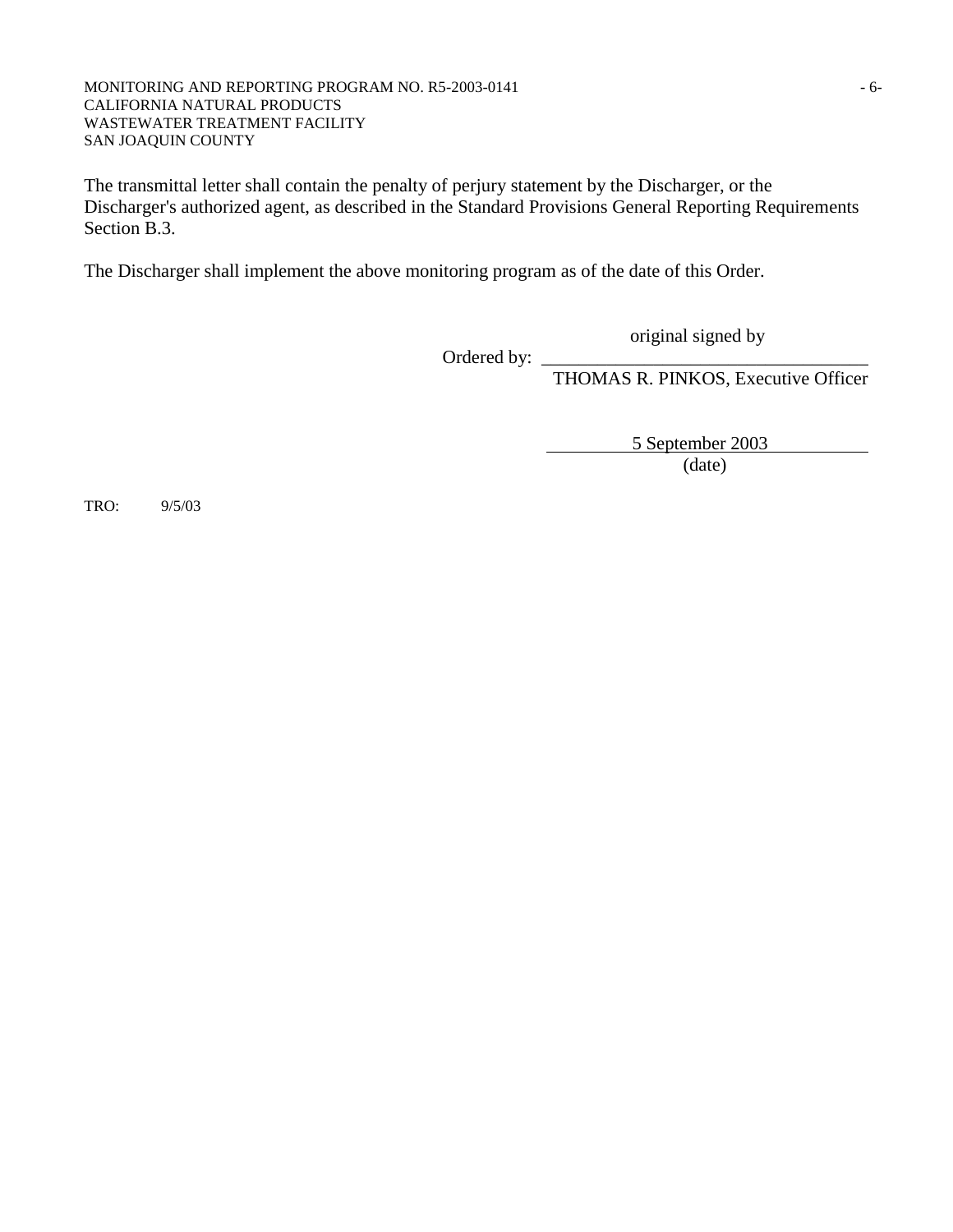#### MONITORING AND REPORTING PROGRAM NO. R5-2003-0141 - 6-CALIFORNIA NATURAL PRODUCTS WASTEWATER TREATMENT FACILITY SAN JOAQUIN COUNTY

The transmittal letter shall contain the penalty of perjury statement by the Discharger, or the Discharger's authorized agent, as described in the Standard Provisions General Reporting Requirements Section B.3.

The Discharger shall implement the above monitoring program as of the date of this Order.

original signed by

Ordered by:

THOMAS R. PINKOS, Executive Officer

5 September 2003

(date)

TRO: 9/5/03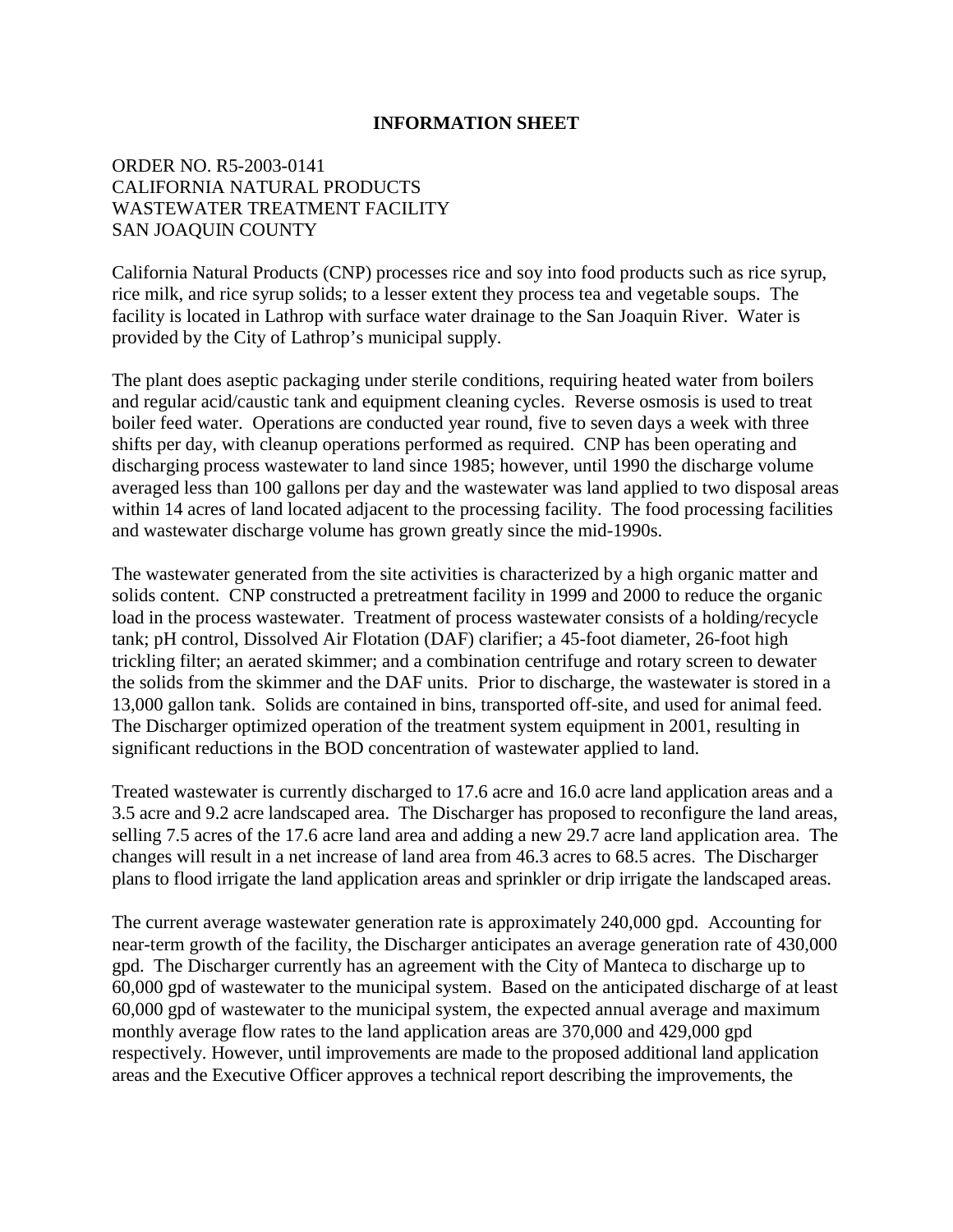### **INFORMATION SHEET**

# ORDER NO. R5-2003-0141 CALIFORNIA NATURAL PRODUCTS WASTEWATER TREATMENT FACILITY SAN JOAQUIN COUNTY

California Natural Products (CNP) processes rice and soy into food products such as rice syrup, rice milk, and rice syrup solids; to a lesser extent they process tea and vegetable soups. The facility is located in Lathrop with surface water drainage to the San Joaquin River. Water is provided by the City of Lathrop's municipal supply.

The plant does aseptic packaging under sterile conditions, requiring heated water from boilers and regular acid/caustic tank and equipment cleaning cycles. Reverse osmosis is used to treat boiler feed water. Operations are conducted year round, five to seven days a week with three shifts per day, with cleanup operations performed as required. CNP has been operating and discharging process wastewater to land since 1985; however, until 1990 the discharge volume averaged less than 100 gallons per day and the wastewater was land applied to two disposal areas within 14 acres of land located adjacent to the processing facility. The food processing facilities and wastewater discharge volume has grown greatly since the mid-1990s.

The wastewater generated from the site activities is characterized by a high organic matter and solids content. CNP constructed a pretreatment facility in 1999 and 2000 to reduce the organic load in the process wastewater. Treatment of process wastewater consists of a holding/recycle tank; pH control, Dissolved Air Flotation (DAF) clarifier; a 45-foot diameter, 26-foot high trickling filter; an aerated skimmer; and a combination centrifuge and rotary screen to dewater the solids from the skimmer and the DAF units. Prior to discharge, the wastewater is stored in a 13,000 gallon tank. Solids are contained in bins, transported off-site, and used for animal feed. The Discharger optimized operation of the treatment system equipment in 2001, resulting in significant reductions in the BOD concentration of wastewater applied to land.

Treated wastewater is currently discharged to 17.6 acre and 16.0 acre land application areas and a 3.5 acre and 9.2 acre landscaped area. The Discharger has proposed to reconfigure the land areas, selling 7.5 acres of the 17.6 acre land area and adding a new 29.7 acre land application area. The changes will result in a net increase of land area from 46.3 acres to 68.5 acres. The Discharger plans to flood irrigate the land application areas and sprinkler or drip irrigate the landscaped areas.

The current average wastewater generation rate is approximately 240,000 gpd. Accounting for near-term growth of the facility, the Discharger anticipates an average generation rate of 430,000 gpd. The Discharger currently has an agreement with the City of Manteca to discharge up to 60,000 gpd of wastewater to the municipal system. Based on the anticipated discharge of at least 60,000 gpd of wastewater to the municipal system, the expected annual average and maximum monthly average flow rates to the land application areas are 370,000 and 429,000 gpd respectively. However, until improvements are made to the proposed additional land application areas and the Executive Officer approves a technical report describing the improvements, the